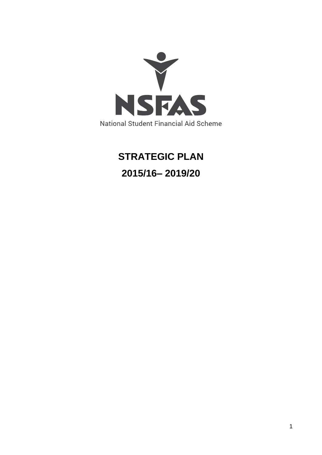

# **STRATEGIC PLAN 2015/16– 2019/20**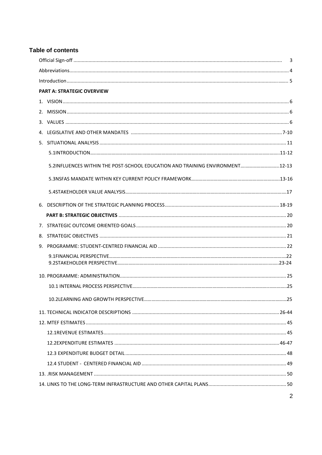### **Table of contents**

| <b>PART A: STRATEGIC OVERVIEW</b>                                            |  |
|------------------------------------------------------------------------------|--|
|                                                                              |  |
|                                                                              |  |
|                                                                              |  |
|                                                                              |  |
|                                                                              |  |
|                                                                              |  |
| 5.2INFLUENCES WITHIN THE POST-SCHOOL EDUCATION AND TRAINING ENVIRONMENT12-13 |  |
|                                                                              |  |
|                                                                              |  |
|                                                                              |  |
|                                                                              |  |
|                                                                              |  |
|                                                                              |  |
|                                                                              |  |
|                                                                              |  |
|                                                                              |  |
|                                                                              |  |
|                                                                              |  |
|                                                                              |  |
|                                                                              |  |
|                                                                              |  |
|                                                                              |  |
|                                                                              |  |
|                                                                              |  |
|                                                                              |  |
|                                                                              |  |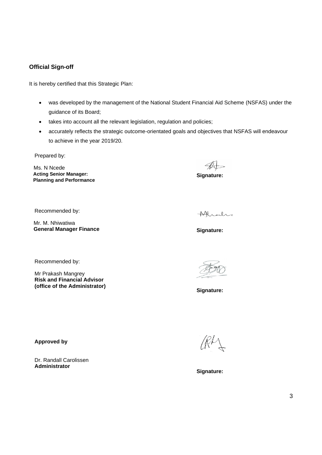### <span id="page-2-0"></span>**Official Sign-off**

It is hereby certified that this Strategic Plan:

- was developed by the management of the National Student Financial Aid Scheme (NSFAS) under the guidance of its Board;
- takes into account all the relevant legislation, regulation and policies;
- accurately reflects the strategic outcome-orientated goals and objectives that NSFAS will endeavour to achieve in the year 2019/20.

Prepared by:

 Ms. N Ncede  **Acting Senior Manager: Planning and Performance**

**Signature:**

Recommended by:

 Mr. M. Nhiwatiwa  **General Manager Finance**

Recommended by:

Mr Prakash Mangrey **Risk and Financial Advisor (office of the Administrator)**

Akrahr

**Signature:** 

**Signature:**

**Approved by**

Dr. Randall Carolissen **Administrator** 

**Signature:**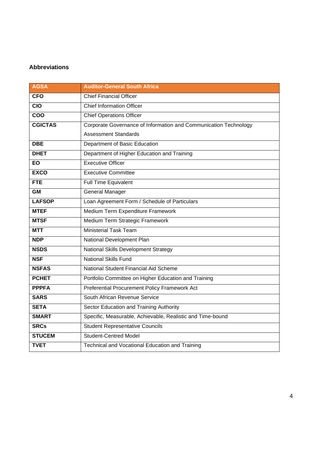### <span id="page-3-0"></span>**Abbreviations**

| <b>AGSA</b>      | <b>Auditor-General South Africa</b>                              |
|------------------|------------------------------------------------------------------|
| <b>CFO</b>       | <b>Chief Financial Officer</b>                                   |
| $\overline{CIO}$ | <b>Chief Information Officer</b>                                 |
| COO              | <b>Chief Operations Officer</b>                                  |
| <b>CGICTAS</b>   | Corporate Governance of Information and Communication Technology |
|                  | <b>Assessment Standards</b>                                      |
| <b>DBE</b>       | Department of Basic Education                                    |
| <b>DHET</b>      | Department of Higher Education and Training                      |
| EO               | <b>Executive Officer</b>                                         |
| <b>EXCO</b>      | <b>Executive Committee</b>                                       |
| <b>FTE</b>       | <b>Full Time Equivalent</b>                                      |
| <b>GM</b>        | <b>General Manager</b>                                           |
| <b>LAFSOP</b>    | Loan Agreement Form / Schedule of Particulars                    |
| <b>MTEF</b>      | Medium Term Expenditure Framework                                |
| <b>MTSF</b>      | Medium Term Strategic Framework                                  |
| <b>MTT</b>       | <b>Ministerial Task Team</b>                                     |
| <b>NDP</b>       | National Development Plan                                        |
| <b>NSDS</b>      | National Skills Development Strategy                             |
| <b>NSF</b>       | <b>National Skills Fund</b>                                      |
| <b>NSFAS</b>     | National Student Financial Aid Scheme                            |
| <b>PCHET</b>     | Portfolio Committee on Higher Education and Training             |
| <b>PPPFA</b>     | Preferential Procurement Policy Framework Act                    |
| <b>SARS</b>      | South African Revenue Service                                    |
| <b>SETA</b>      | Sector Education and Training Authority                          |
| <b>SMART</b>     | Specific, Measurable, Achievable, Realistic and Time-bound       |
| <b>SRCs</b>      | <b>Student Representative Councils</b>                           |
| <b>STUCEM</b>    | <b>Student-Centred Model</b>                                     |
| <b>TVET</b>      | Technical and Vocational Education and Training                  |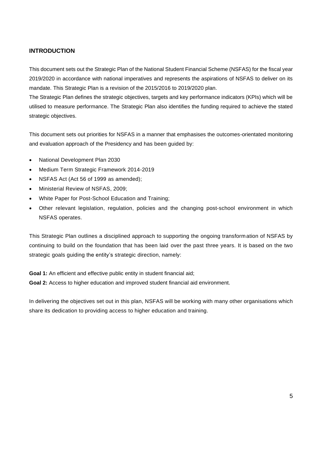### **INTRODUCTION**

This document sets out the Strategic Plan of the National Student Financial Scheme (NSFAS) for the fiscal year 2019/2020 in accordance with national imperatives and represents the aspirations of NSFAS to deliver on its mandate. This Strategic Plan is a revision of the 2015/2016 to 2019/2020 plan.

The Strategic Plan defines the strategic objectives, targets and key performance indicators (KPIs) which will be utilised to measure performance. The Strategic Plan also identifies the funding required to achieve the stated strategic objectives.

This document sets out priorities for NSFAS in a manner that emphasises the outcomes-orientated monitoring and evaluation approach of the Presidency and has been guided by:

- National Development Plan 2030
- Medium Term Strategic Framework 2014-2019
- NSFAS Act (Act 56 of 1999 as amended);
- Ministerial Review of NSFAS, 2009;
- White Paper for Post-School Education and Training;
- Other relevant legislation, regulation, policies and the changing post-school environment in which NSFAS operates.

This Strategic Plan outlines a disciplined approach to supporting the ongoing transformation of NSFAS by continuing to build on the foundation that has been laid over the past three years. It is based on the two strategic goals guiding the entity's strategic direction, namely:

Goal 1: An efficient and effective public entity in student financial aid;

**Goal 2:** Access to higher education and improved student financial aid environment.

In delivering the objectives set out in this plan, NSFAS will be working with many other organisations which share its dedication to providing access to higher education and training.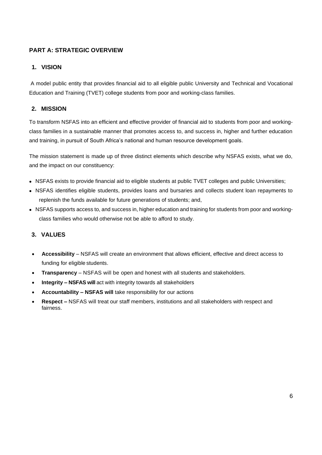### **PART A: STRATEGIC OVERVIEW**

# <span id="page-5-0"></span>**1. VISION**

A model public entity that provides financial aid to all eligible public University and Technical and Vocational Education and Training (TVET) college students from poor and working-class families.

# <span id="page-5-1"></span>**2. MISSION**

To transform NSFAS into an efficient and effective provider of financial aid to students from poor and workingclass families in a sustainable manner that promotes access to, and success in, higher and further education and training, in pursuit of South Africa's national and human resource development goals.

The mission statement is made up of three distinct elements which describe why NSFAS exists, what we do, and the impact on our constituency:

- NSFAS exists to provide financial aid to eligible students at public TVET colleges and public Universities;
- NSFAS identifies eligible students, provides loans and bursaries and collects student loan repayments to replenish the funds available for future generations of students; and,
- NSFAS supports access to, and success in, higher education and training for students from poor and workingclass families who would otherwise not be able to afford to study.

### **3. VALUES**

- **Accessibility**  NSFAS will create an environment that allows efficient, effective and direct access to funding for eligible students.
- **Transparency**  NSFAS will be open and honest with all students and stakeholders.
- **Integrity – NSFAS will** act with integrity towards all stakeholders
- **Accountability – NSFAS will** take responsibility for our actions
- **Respect –** NSFAS will treat our staff members, institutions and all stakeholders with respect and fairness.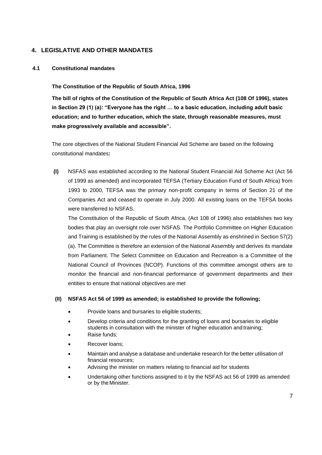### **4. LEGISLATIVE AND OTHER MANDATES**

### **4.1 Constitutional mandates**

### **The Constitution of the Republic of South Africa, 1996**

**The bill of rights of the Constitution of the Republic of South Africa Act (108 Of 1996), states in Section 29 (1) (a): "Everyone has the right … to a basic education, including adult basic education; and to further education, which the state, through reasonable measures, must make progressively available and accessible".**

The core objectives of the National Student Financial Aid Scheme are based on the following constitutional mandates**:**

**(I)** NSFAS was established according to the National Student Financial Aid Scheme Act (Act 56 of 1999 as amended) and incorporated TEFSA (Tertiary Education Fund of South Africa) from 1993 to 2000, TEFSA was the primary non-profit company in terms of Section 21 of the Companies Act and ceased to operate in July 2000. All existing loans on the TEFSA books were transferred to NSFAS.

The Constitution of the Republic of South Africa, (Act 108 of 1996) also establishes two key bodies that play an oversight role over NSFAS. The Portfolio Committee on Higher Education and Training is established by the rules of the National Assembly as enshrined in Section 57(2) (a). The Committee is therefore an extension of the National Assembly and derives its mandate from Parliament. The Select Committee on Education and Recreation is a Committee of the National Council of Provinces (NCOP). Functions of this committee amongst others are to monitor the financial and non-financial performance of government departments and their entities to ensure that national objectives are met

### **(II) NSFAS Act 56 of 1999 as amended; is established to provide the following;**

- Provide loans and bursaries to eligible students;
- Develop criteria and conditions for the granting of loans and bursaries to eligible students in consultation with the minister of higher education and training;
- Raise funds;
- Recover loans;
- Maintain and analyse a database and undertake research for the better utilisation of financial resources;
- Advising the minister on matters relating to financial aid for students
- Undertaking other functions assigned to it by the NSFAS act 56 of 1999 as amended or by the Minister.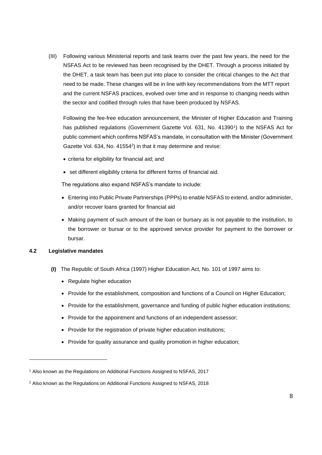(III) Following various Ministerial reports and task teams over the past few years, the need for the NSFAS Act to be reviewed has been recognised by the DHET. Through a process initiated by the DHET, a task team has been put into place to consider the critical changes to the Act that need to be made. These changes will be in line with key recommendations from the MTT report and the current NSFAS practices, evolved over time and in response to changing needs within the sector and codified through rules that have been produced by NSFAS.

Following the fee-free education announcement, the Minister of Higher Education and Training has published regulations (Government Gazette Vol. 631, No. 41390<sup>1</sup>) to the NSFAS Act for public comment which confirms NSFAS's mandate, in consultation with the Minister (Government Gazette Vol. 634, No. 41554<sup>2</sup>) in that it may determine and revise:

- criteria for eligibility for financial aid; and
- set different eligibility criteria for different forms of financial aid.

The regulations also expand NSFAS's mandate to include:

- Entering into Public Private Partnerships (PPPs) to enable NSFAS to extend, and/or administer, and/or recover loans granted for financial aid
- Making payment of such amount of the loan or bursary as is not payable to the institution, to the borrower or bursar or to the approved service provider for payment to the borrower or bursar.

### **4.2 Legislative mandates**

- **(I)** The Republic of South Africa (1997) Higher Education Act, No. 101 of 1997 aims to:
	- Regulate higher education
	- Provide for the establishment, composition and functions of a Council on Higher Education;
	- Provide for the establishment, governance and funding of public higher education institutions;
	- Provide for the appointment and functions of an independent assessor;
	- Provide for the registration of private higher education institutions;
	- Provide for quality assurance and quality promotion in higher education;

<sup>1</sup> Also known as the Regulations on Additional Functions Assigned to NSFAS, 2017

<sup>&</sup>lt;sup>2</sup> Also known as the Regulations on Additional Functions Assigned to NSFAS, 2018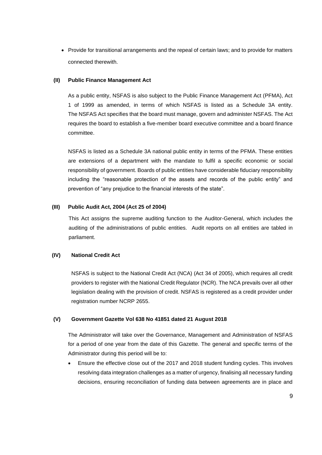• Provide for transitional arrangements and the repeal of certain laws; and to provide for matters connected therewith.

### **(II) Public Finance Management Act**

As a public entity, NSFAS is also subject to the Public Finance Management Act (PFMA), Act 1 of 1999 as amended, in terms of which NSFAS is listed as a Schedule 3A entity. The NSFAS Act specifies that the board must manage, govern and administer NSFAS. The Act requires the board to establish a five-member board executive committee and a board finance committee.

NSFAS is listed as a Schedule 3A national public entity in terms of the PFMA. These entities are extensions of a department with the mandate to fulfil a specific economic or social responsibility of government. Boards of public entities have considerable fiduciary responsibility including the "reasonable protection of the assets and records of the public entity" and prevention of "any prejudice to the financial interests of the state".

### **(III) Public Audit Act, 2004 (Act 25 of 2004)**

This Act assigns the supreme auditing function to the Auditor-General, which includes the auditing of the administrations of public entities. Audit reports on all entities are tabled in parliament.

### **(IV) National Credit Act**

NSFAS is subject to the National Credit Act (NCA) (Act 34 of 2005), which requires all credit providers to register with the National Credit Regulator (NCR). The NCA prevails over all other legislation dealing with the provision of credit. NSFAS is registered as a credit provider under registration number NCRP 2655.

### **(V) Government Gazette Vol 638 No 41851 dated 21 August 2018**

The Administrator will take over the Governance, Management and Administration of NSFAS for a period of one year from the date of this Gazette. The general and specific terms of the Administrator during this period will be to:

• Ensure the effective close out of the 2017 and 2018 student funding cycles. This involves resolving data integration challenges as a matter of urgency, finalising all necessary funding decisions, ensuring reconciliation of funding data between agreements are in place and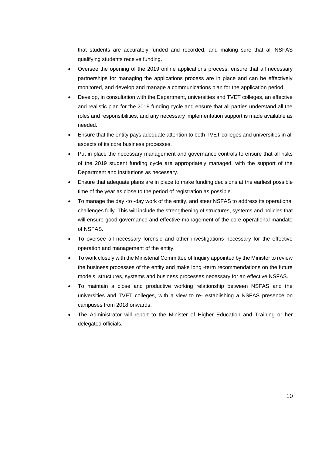that students are accurately funded and recorded, and making sure that all NSFAS qualifying students receive funding.

- Oversee the opening of the 2019 online applications process, ensure that all necessary partnerships for managing the applications process are in place and can be effectively monitored, and develop and manage a communications plan for the application period.
- Develop, in consultation with the Department, universities and TVET colleges, an effective and realistic plan for the 2019 funding cycle and ensure that all parties understand all the roles and responsibilities, and any necessary implementation support is made available as needed.
- Ensure that the entity pays adequate attention to both TVET colleges and universities in all aspects of its core business processes.
- Put in place the necessary management and governance controls to ensure that all risks of the 2019 student funding cycle are appropriately managed, with the support of the Department and institutions as necessary.
- Ensure that adequate plans are in place to make funding decisions at the earliest possible time of the year as close to the period of registration as possible.
- To manage the day -to -day work of the entity, and steer NSFAS to address its operational challenges fully. This will include the strengthening of structures, systems and policies that will ensure good governance and effective management of the core operational mandate of NSFAS.
- To oversee all necessary forensic and other investigations necessary for the effective operation and management of the entity.
- To work closely with the Ministerial Committee of Inquiry appointed by the Minister to review the business processes of the entity and make long -term recommendations on the future models, structures, systems and business processes necessary for an effective NSFAS.
- To maintain a close and productive working relationship between NSFAS and the universities and TVET colleges, with a view to re- establishing a NSFAS presence on campuses from 2018 onwards.
- The Administrator will report to the Minister of Higher Education and Training or her delegated officials.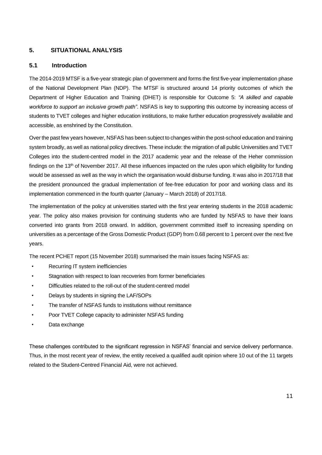### **5. SITUATIONAL ANALYSIS**

### **5.1 Introduction**

The 2014-2019 MTSF is a five-year strategic plan of government and forms the first five-year implementation phase of the National Development Plan (NDP). The MTSF is structured around 14 priority outcomes of which the Department of Higher Education and Training (DHET) is responsible for Outcome 5: *"A skilled and capable workforce to support an inclusive growth path"*. NSFAS is key to supporting this outcome by increasing access of students to TVET colleges and higher education institutions, to make further education progressively available and accessible, as enshrined by the Constitution.

Over the past few years however, NSFAS has been subject to changes within the post-school education and training system broadly, as well as national policy directives. These include: the migration of all public Universities and TVET Colleges into the student-centred model in the 2017 academic year and the release of the Heher commission findings on the  $13<sup>th</sup>$  of November 2017. All these influences impacted on the rules upon which eligibility for funding would be assessed as well as the way in which the organisation would disburse funding. It was also in 2017/18 that the president pronounced the gradual implementation of fee-free education for poor and working class and its implementation commenced in the fourth quarter (January – March 2018) of 2017/18.

The implementation of the policy at universities started with the first year entering students in the 2018 academic year. The policy also makes provision for continuing students who are funded by NSFAS to have their loans converted into grants from 2018 onward. In addition, government committed itself to increasing spending on universities as a percentage of the Gross Domestic Product (GDP) from 0.68 percent to 1 percent over the next five years.

The recent PCHET report (15 November 2018) summarised the main issues facing NSFAS as:

- Recurring IT system inefficiencies
- Stagnation with respect to loan recoveries from former beneficiaries
- Difficulties related to the roll-out of the student-centred model
- Delays by students in signing the LAF/SOPs
- The transfer of NSFAS funds to institutions without remittance
- Poor TVET College capacity to administer NSFAS funding
- Data exchange

These challenges contributed to the significant regression in NSFAS' financial and service delivery performance. Thus, in the most recent year of review, the entity received a qualified audit opinion where 10 out of the 11 targets related to the Student-Centred Financial Aid, were not achieved.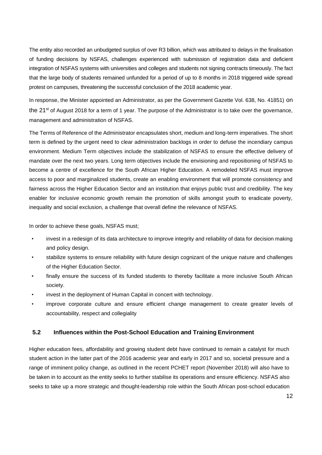The entity also recorded an unbudgeted surplus of over R3 billion, which was attributed to delays in the finalisation of funding decisions by NSFAS, challenges experienced with submission of registration data and deficient integration of NSFAS systems with universities and colleges and students not signing contracts timeously. The fact that the large body of students remained unfunded for a period of up to 8 months in 2018 triggered wide spread protest on campuses, threatening the successful conclusion of the 2018 academic year.

In response, the Minister appointed an Administrator, as per the Government Gazette Vol. 638, No. 41851) on the 21<sup>st</sup> of August 2018 for a term of 1 year. The purpose of the Administrator is to take over the governance, management and administration of NSFAS.

The Terms of Reference of the Administrator encapsulates short, medium and long-term imperatives. The short term is defined by the urgent need to clear administration backlogs in order to defuse the incendiary campus environment. Medium Term objectives include the stabilization of NSFAS to ensure the effective delivery of mandate over the next two years. Long term objectives include the envisioning and repositioning of NSFAS to become a centre of excellence for the South African Higher Education. A remodeled NSFAS must improve access to poor and marginalized students, create an enabling environment that will promote consistency and fairness across the Higher Education Sector and an institution that enjoys public trust and credibility. The key enabler for inclusive economic growth remain the promotion of skills amongst youth to eradicate poverty, inequality and social exclusion, a challenge that overall define the relevance of NSFAS.

In order to achieve these goals, NSFAS must;

- invest in a redesign of its data architecture to improve integrity and reliability of data for decision making and policy design.
- stabilize systems to ensure reliability with future design cognizant of the unique nature and challenges of the Higher Education Sector.
- finally ensure the success of its funded students to thereby facilitate a more inclusive South African society.
- invest in the deployment of Human Capital in concert with technology.
- improve corporate culture and ensure efficient change management to create greater levels of accountability, respect and collegiality

### **5.2 Influences within the Post-School Education and Training Environment**

Higher education fees, affordability and growing student debt have continued to remain a catalyst for much student action in the latter part of the 2016 academic year and early in 2017 and so, societal pressure and a range of imminent policy change, as outlined in the recent PCHET report (November 2018) will also have to be taken in to account as the entity seeks to further stabilise its operations and ensure efficiency. NSFAS also seeks to take up a more strategic and thought-leadership role within the South African post-school education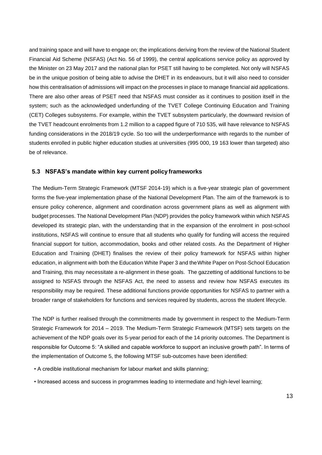and training space and will have to engage on; the implications deriving from the review of the National Student Financial Aid Scheme (NSFAS) (Act No. 56 of 1999), the central applications service policy as approved by the Minister on 23 May 2017 and the national plan for PSET still having to be completed. Not only will NSFAS be in the unique position of being able to advise the DHET in its endeavours, but it will also need to consider how this centralisation of admissions will impact on the processes in place to manage financial aid applications. There are also other areas of PSET need that NSFAS must consider as it continues to position itself in the system; such as the acknowledged underfunding of the TVET College Continuing Education and Training (CET) Colleges subsystems. For example, within the TVET subsystem particularly, the downward revision of the TVET headcount enrolments from 1.2 million to a capped figure of 710 535, will have relevance to NSFAS funding considerations in the 2018/19 cycle. So too will the underperformance with regards to the number of students enrolled in public higher education studies at universities (995 000, 19 163 lower than targeted) also be of relevance.

### **5.3 NSFAS's mandate within key current policy frameworks**

The Medium-Term Strategic Framework (MTSF 2014-19) which is a five-year strategic plan of government forms the five-year implementation phase of the National Development Plan. The aim of the framework is to ensure policy coherence, alignment and coordination across government plans as well as alignment with budget processes. The National Development Plan (NDP) provides the policy framework within which NSFAS developed its strategic plan, with the understanding that in the expansion of the enrolment in post-school institutions, NSFAS will continue to ensure that all students who qualify for funding will access the required financial support for tuition, accommodation, books and other related costs. As the Department of Higher Education and Training (DHET) finalises the review of their policy framework for NSFAS within higher education, in alignment with both the Education White Paper 3 and theWhite Paper on Post-School Education and Training, this may necessitate a re-alignment in these goals. The gazzetting of additional functions to be assigned to NSFAS through the NSFAS Act, the need to assess and review how NSFAS executes its responsibility may be required. These additional functions provide opportunities for NSFAS to partner with a broader range of stakeholders for functions and services required by students, across the student lifecycle.

The NDP is further realised through the commitments made by government in respect to the Medium-Term Strategic Framework for 2014 – 2019. The Medium-Term Strategic Framework (MTSF) sets targets on the achievement of the NDP goals over its 5-year period for each of the 14 priority outcomes. The Department is responsible for Outcome 5: "A skilled and capable workforce to support an inclusive growth path". In terms of the implementation of Outcome 5, the following MTSF sub-outcomes have been identified:

- A credible institutional mechanism for labour market and skills planning;
- Increased access and success in programmes leading to intermediate and high-level learning;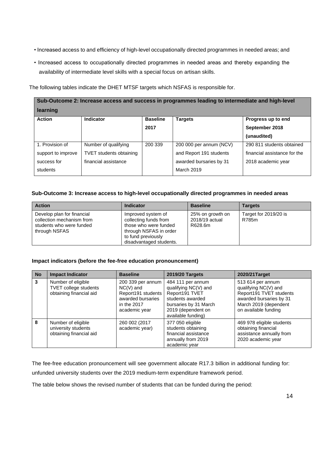- Increased access to and efficiency of high-level occupationally directed programmes in needed areas; and
- Increased access to occupationally directed programmes in needed areas and thereby expanding the availability of intermediate level skills with a special focus on artisan skills.

The following tables indicate the DHET MTSF targets which NSFAS is responsible for.

| Sub-Outcome 2: Increase access and success in programmes leading to intermediate and high-level |                                |                 |                         |                              |  |
|-------------------------------------------------------------------------------------------------|--------------------------------|-----------------|-------------------------|------------------------------|--|
| learning                                                                                        |                                |                 |                         |                              |  |
| <b>Action</b>                                                                                   | Indicator                      | <b>Baseline</b> | <b>Targets</b>          | Progress up to end           |  |
|                                                                                                 |                                | 2017            |                         | September 2018               |  |
|                                                                                                 |                                |                 |                         | (unaudited)                  |  |
| 1. Provision of                                                                                 | Number of qualifying           | 200 339         | 200 000 per annum (NCV) | 290 811 students obtained    |  |
| support to improve                                                                              | <b>TVET</b> students obtaining |                 | and Report 191 students | financial assistance for the |  |
| success for                                                                                     | financial assistance           |                 | awarded bursaries by 31 | 2018 academic year           |  |
| students                                                                                        |                                |                 | March 2019              |                              |  |

### **Sub-Outcome 3: Increase access to high-level occupationally directed programmes in needed areas**

| <b>Action</b>                                                                                        | <b>Indicator</b>                                                                                                                                | <b>Baseline</b>                               | <b>Targets</b>                 |
|------------------------------------------------------------------------------------------------------|-------------------------------------------------------------------------------------------------------------------------------------------------|-----------------------------------------------|--------------------------------|
| Develop plan for financial<br>collection mechanism from<br>students who were funded<br>through NSFAS | Improved system of<br>collecting funds from<br>those who were funded<br>through NSFAS in order<br>to fund previously<br>disadvantaged students. | 25% on growth on<br>2018/19 actual<br>R628.6m | Target for 2019/20 is<br>R785m |

### **Impact indicators (before the fee-free education pronouncement)**

| <b>No</b> | <b>Impact Indicator</b>                                                | <b>Baseline</b>                                                                                             | 2019/20 Targets                                                                                                                                      | 2020/21 Target                                                                                                                                   |
|-----------|------------------------------------------------------------------------|-------------------------------------------------------------------------------------------------------------|------------------------------------------------------------------------------------------------------------------------------------------------------|--------------------------------------------------------------------------------------------------------------------------------------------------|
| 3         | Number of eligible<br>TVET college students<br>obtaining financial aid | 200 339 per annum<br>$NC(V)$ and<br>Report191 students<br>awarded bursaries<br>in the 2017<br>academic year | 484 111 per annum<br>qualifying NC(V) and<br>Report191 TVET<br>students awarded<br>bursaries by 31 March<br>2019 (dependent on<br>available funding) | 513 614 per annum<br>qualifying NC(V) and<br>Report191 TVET students<br>awarded bursaries by 31<br>March 2019 (dependent<br>on available funding |
| 8         | Number of eligible<br>university students<br>obtaining financial aid   | 260 002 (2017<br>academic year)                                                                             | 377 050 eligible<br>students obtaining<br>financial assistance<br>annually from 2019<br>academic year                                                | 469 978 eligible students<br>obtaining financial<br>assistance annually from<br>2020 academic year                                               |

The fee-free education pronouncement will see government allocate R17.3 billion in additional funding for: unfunded university students over the 2019 medium-term expenditure framework period.

The table below shows the revised number of students that can be funded during the period: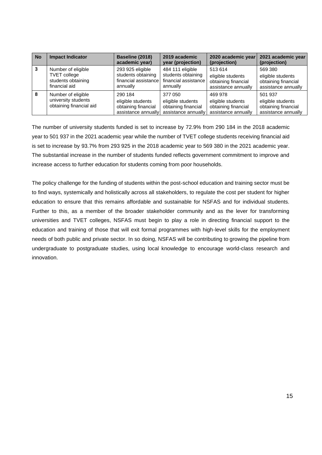| <b>No</b> | <b>Impact Indicator</b>                                                          | Baseline (2018)<br>academic year)                                          | 2019 academic<br>year (projection)                                         | 2020 academic year<br>(projection)                                         | 2021 academic year<br>(projection)                                         |
|-----------|----------------------------------------------------------------------------------|----------------------------------------------------------------------------|----------------------------------------------------------------------------|----------------------------------------------------------------------------|----------------------------------------------------------------------------|
| 3         | Number of eligible<br><b>TVET</b> college<br>students obtaining<br>financial aid | 293 925 eligible<br>students obtaining<br>financial assistance<br>annually | 484 111 eligible<br>students obtaining<br>financial assistance<br>annually | 513 614<br>eligible students<br>obtaining financial<br>assistance annually | 569 380<br>eligible students<br>obtaining financial<br>assistance annually |
| 8         | Number of eligible<br>university students<br>obtaining financial aid             | 290 184<br>eligible students<br>obtaining financial<br>assistance annually | 377 050<br>eligible students<br>obtaining financial<br>assistance annually | 469 978<br>eligible students<br>obtaining financial<br>assistance annually | 501 937<br>eligible students<br>obtaining financial<br>assistance annually |

The number of university students funded is set to increase by 72.9% from 290 184 in the 2018 academic year to 501 937 in the 2021 academic year while the number of TVET college students receiving financial aid is set to increase by 93.7% from 293 925 in the 2018 academic year to 569 380 in the 2021 academic year. The substantial increase in the number of students funded reflects government commitment to improve and increase access to further education for students coming from poor households.

The policy challenge for the funding of students within the post-school education and training sector must be to find ways, systemically and holistically across all stakeholders, to regulate the cost per student for higher education to ensure that this remains affordable and sustainable for NSFAS and for individual students. Further to this, as a member of the broader stakeholder community and as the lever for transforming universities and TVET colleges, NSFAS must begin to play a role in directing financial support to the education and training of those that will exit formal programmes with high-level skills for the employment needs of both public and private sector. In so doing, NSFAS will be contributing to growing the pipeline from undergraduate to postgraduate studies, using local knowledge to encourage world-class research and innovation.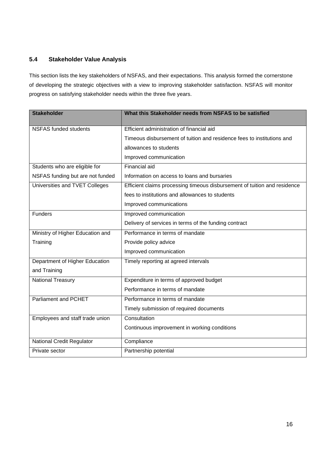# **5.4 Stakeholder Value Analysis**

This section lists the key stakeholders of NSFAS, and their expectations. This analysis formed the cornerstone of developing the strategic objectives with a view to improving stakeholder satisfaction. NSFAS will monitor progress on satisfying stakeholder needs within the three five years.

| <b>Stakeholder</b>               | What this Stakeholder needs from NSFAS to be satisfied                    |
|----------------------------------|---------------------------------------------------------------------------|
| <b>NSFAS funded students</b>     | Efficient administration of financial aid                                 |
|                                  | Timeous disbursement of tuition and residence fees to institutions and    |
|                                  | allowances to students                                                    |
|                                  | Improved communication                                                    |
| Students who are eligible for    | <b>Financial aid</b>                                                      |
| NSFAS funding but are not funded | Information on access to loans and bursaries                              |
| Universities and TVET Colleges   | Efficient claims processing timeous disbursement of tuition and residence |
|                                  | fees to institutions and allowances to students                           |
|                                  | Improved communications                                                   |
| <b>Funders</b>                   | Improved communication                                                    |
|                                  | Delivery of services in terms of the funding contract                     |
| Ministry of Higher Education and | Performance in terms of mandate                                           |
| Training                         | Provide policy advice                                                     |
|                                  | Improved communication                                                    |
| Department of Higher Education   | Timely reporting at agreed intervals                                      |
| and Training                     |                                                                           |
| <b>National Treasury</b>         | Expenditure in terms of approved budget                                   |
|                                  | Performance in terms of mandate                                           |
| <b>Parliament and PCHET</b>      | Performance in terms of mandate                                           |
|                                  | Timely submission of required documents                                   |
| Employees and staff trade union  | Consultation                                                              |
|                                  | Continuous improvement in working conditions                              |
| <b>National Credit Regulator</b> | Compliance                                                                |
| Private sector                   | Partnership potential                                                     |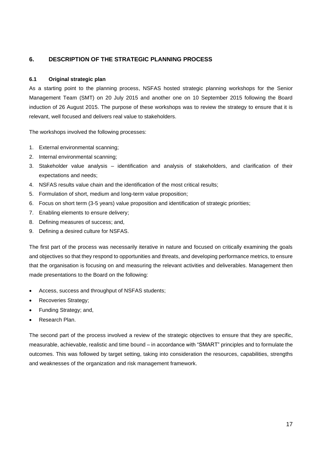### <span id="page-16-0"></span>**6. DESCRIPTION OF THE STRATEGIC PLANNING PROCESS**

### **6.1 Original strategic plan**

As a starting point to the planning process, NSFAS hosted strategic planning workshops for the Senior Management Team (SMT) on 20 July 2015 and another one on 10 September 2015 following the Board induction of 26 August 2015. The purpose of these workshops was to review the strategy to ensure that it is relevant, well focused and delivers real value to stakeholders.

The workshops involved the following processes:

- 1. External environmental scanning;
- 2. Internal environmental scanning;
- 3. Stakeholder value analysis identification and analysis of stakeholders, and clarification of their expectations and needs;
- 4. NSFAS results value chain and the identification of the most critical results;
- 5. Formulation of short, medium and long-term value proposition;
- 6. Focus on short term (3-5 years) value proposition and identification of strategic priorities;
- 7. Enabling elements to ensure delivery;
- 8. Defining measures of success; and,
- 9. Defining a desired culture for NSFAS.

The first part of the process was necessarily iterative in nature and focused on critically examining the goals and objectives so that they respond to opportunities and threats, and developing performance metrics, to ensure that the organisation is focusing on and measuring the relevant activities and deliverables. Management then made presentations to the Board on the following:

- Access, success and throughput of NSFAS students;
- Recoveries Strategy;
- Funding Strategy; and,
- Research Plan.

The second part of the process involved a review of the strategic objectives to ensure that they are specific, measurable, achievable, realistic and time bound – in accordance with "SMART" principles and to formulate the outcomes. This was followed by target setting, taking into consideration the resources, capabilities, strengths and weaknesses of the organization and risk management framework.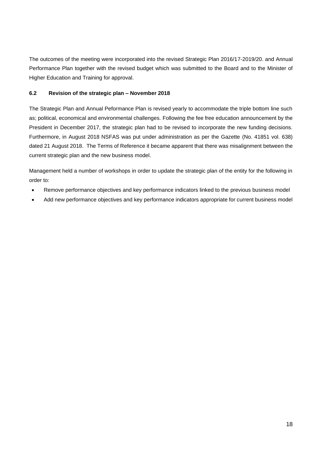The outcomes of the meeting were incorporated into the revised Strategic Plan 2016/17-2019/20. and Annual Performance Plan together with the revised budget which was submitted to the Board and to the Minister of Higher Education and Training for approval.

### **6.2 Revision of the strategic plan – November 2018**

The Strategic Plan and Annual Peformance Plan is revised yearly to accommodate the triple bottom line such as; political, economical and environmental challenges. Following the fee free education announcement by the President in December 2017, the strategic plan had to be revised to incorporate the new funding decisions. Furthermore, in August 2018 NSFAS was put under administration as per the Gazette (No. 41851 vol. 638) dated 21 August 2018. The Terms of Reference it became apparent that there was misalignment between the current strategic plan and the new business model.

Management held a number of workshops in order to update the strategic plan of the entity for the following in order to:

- Remove performance objectives and key performance indicators linked to the previous business model
- Add new performance objectives and key performance indicators appropriate for current business model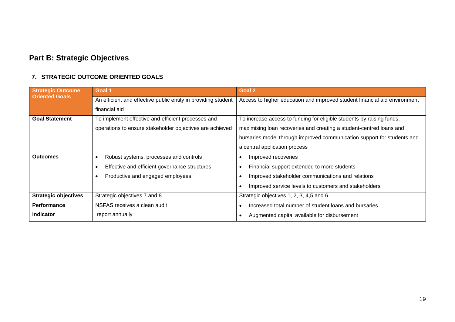# **Part B: Strategic Objectives**

# **7. STRATEGIC OUTCOME ORIENTED GOALS**

<span id="page-18-0"></span>

| <b>Strategic Outcome</b>    | Goal 1                                                        | Goal 2                                                                    |
|-----------------------------|---------------------------------------------------------------|---------------------------------------------------------------------------|
| <b>Oriented Goals</b>       | An efficient and effective public entity in providing student | Access to higher education and improved student financial aid environment |
|                             | financial aid                                                 |                                                                           |
| <b>Goal Statement</b>       | To implement effective and efficient processes and            | To increase access to funding for eligible students by raising funds,     |
|                             | operations to ensure stakeholder objectives are achieved      | maximising loan recoveries and creating a student-centred loans and       |
|                             |                                                               | bursaries model through improved communication support for students and   |
|                             |                                                               | a central application process                                             |
| <b>Outcomes</b>             | Robust systems, processes and controls                        | Improved recoveries                                                       |
|                             | Effective and efficient governance structures                 | Financial support extended to more students                               |
|                             | Productive and engaged employees                              | Improved stakeholder communications and relations                         |
|                             |                                                               | Improved service levels to customers and stakeholders                     |
| <b>Strategic objectives</b> | Strategic objectives 7 and 8                                  | Strategic objectives 1, 2, 3, 4,5 and 6                                   |
| Performance                 | NSFAS receives a clean audit                                  | Increased total number of student loans and bursaries                     |
| <b>Indicator</b>            | report annually                                               | Augmented capital available for disbursement                              |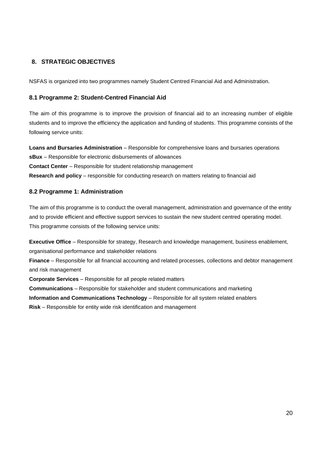### <span id="page-19-0"></span>**8. STRATEGIC OBJECTIVES**

NSFAS is organized into two programmes namely Student Centred Financial Aid and Administration.

### **8.1 Programme 2: Student-Centred Financial Aid**

The aim of this programme is to improve the provision of financial aid to an increasing number of eligible students and to improve the efficiency the application and funding of students. This programme consists of the following service units:

**Loans and Bursaries Administration** – Responsible for comprehensive loans and bursaries operations **sBux** – Responsible for electronic disbursements of allowances **Contact Center** – Responsible for student relationship management

**Research and policy** – responsible for conducting research on matters relating to financial aid

### **8.2 Programme 1: Administration**

The aim of this programme is to conduct the overall management, administration and governance of the entity and to provide efficient and effective support services to sustain the new student centred operating model. This programme consists of the following service units:

**Executive Office** – Responsible for strategy, Research and knowledge management, business enablement, organisational performance and stakeholder relations

**Finance** – Responsible for all financial accounting and related processes, collections and debtor management and risk management

**Corporate Services** – Responsible for all people related matters **Communications** – Responsible for stakeholder and student communications and marketing **Information and Communications Technology** – Responsible for all system related enablers

**Risk** – Responsible for entity wide risk identification and management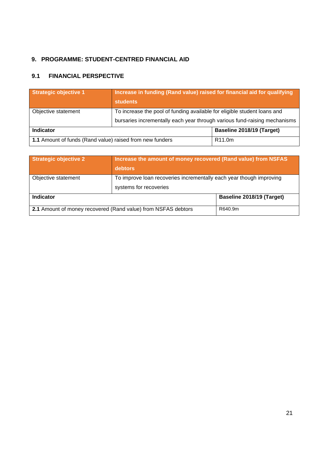# <span id="page-20-0"></span>**9. PROGRAMME: STUDENT-CENTRED FINANCIAL AID**

# **9.1 FINANCIAL PERSPECTIVE**

| <b>Strategic objective 1</b>                             | Increase in funding (Rand value) raised for financial aid for qualifying<br><b>students</b>                                                           |                           |  |
|----------------------------------------------------------|-------------------------------------------------------------------------------------------------------------------------------------------------------|---------------------------|--|
| Objective statement                                      | To increase the pool of funding available for eligible student loans and<br>bursaries incrementally each year through various fund-raising mechanisms |                           |  |
| <b>Indicator</b>                                         |                                                                                                                                                       | Baseline 2018/19 (Target) |  |
| 1.1 Amount of funds (Rand value) raised from new funders |                                                                                                                                                       | R <sub>11.0</sub> m       |  |

| <b>Strategic objective 2</b>                                  | Increase the amount of money recovered (Rand value) from NSFAS<br>debtors                     |                           |  |
|---------------------------------------------------------------|-----------------------------------------------------------------------------------------------|---------------------------|--|
| Objective statement                                           | To improve loan recoveries incrementally each year though improving<br>systems for recoveries |                           |  |
| <b>Indicator</b>                                              |                                                                                               | Baseline 2018/19 (Target) |  |
| 2.1 Amount of money recovered (Rand value) from NSFAS debtors |                                                                                               | R640.9m                   |  |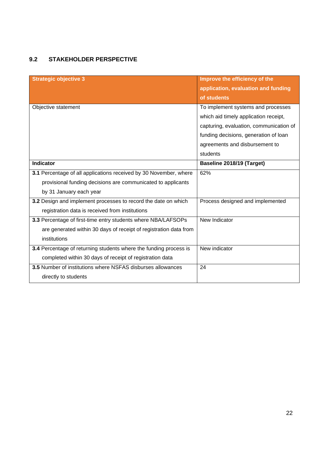# **9.2 STAKEHOLDER PERSPECTIVE**

| <b>Strategic objective 3</b>                                                                                                                                 | Improve the efficiency of the<br>application, evaluation and funding<br>of students                                                                                                                           |
|--------------------------------------------------------------------------------------------------------------------------------------------------------------|---------------------------------------------------------------------------------------------------------------------------------------------------------------------------------------------------------------|
| Objective statement                                                                                                                                          | To implement systems and processes<br>which aid timely application receipt,<br>capturing, evaluation, communication of<br>funding decisions, generation of loan<br>agreements and disbursement to<br>students |
| <b>Indicator</b>                                                                                                                                             | Baseline 2018/19 (Target)                                                                                                                                                                                     |
| 3.1 Percentage of all applications received by 30 November, where<br>provisional funding decisions are communicated to applicants<br>by 31 January each year | 62%                                                                                                                                                                                                           |
| 3.2 Design and implement processes to record the date on which<br>registration data is received from institutions                                            | Process designed and implemented                                                                                                                                                                              |
| 3.3 Percentage of first-time entry students where NBA/LAFSOPs<br>are generated within 30 days of receipt of registration data from<br>institutions           | New Indicator                                                                                                                                                                                                 |
| 3.4 Percentage of returning students where the funding process is<br>completed within 30 days of receipt of registration data                                | New indicator                                                                                                                                                                                                 |
| 3.5 Number of institutions where NSFAS disburses allowances<br>directly to students                                                                          | 24                                                                                                                                                                                                            |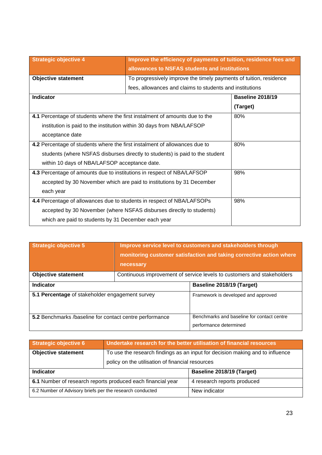| <b>Strategic objective 4</b>                                                 | Improve the efficiency of payments of tuition, residence fees and<br>allowances to NSFAS students and institutions |                         |  |
|------------------------------------------------------------------------------|--------------------------------------------------------------------------------------------------------------------|-------------------------|--|
| <b>Objective statement</b>                                                   | To progressively improve the timely payments of tuition, residence                                                 |                         |  |
|                                                                              | fees, allowances and claims to students and institutions                                                           |                         |  |
| Indicator                                                                    |                                                                                                                    | <b>Baseline 2018/19</b> |  |
|                                                                              |                                                                                                                    | (Target)                |  |
| 4.1 Percentage of students where the first instalment of amounts due to the  |                                                                                                                    | 80%                     |  |
| institution is paid to the institution within 30 days from NBA/LAFSOP        |                                                                                                                    |                         |  |
| acceptance date                                                              |                                                                                                                    |                         |  |
| 4.2 Percentage of students where the first instalment of allowances due to   | 80%                                                                                                                |                         |  |
| students (where NSFAS disburses directly to students) is paid to the student |                                                                                                                    |                         |  |
| within 10 days of NBA/LAFSOP acceptance date.                                |                                                                                                                    |                         |  |
| 4.3 Percentage of amounts due to institutions in respect of NBA/LAFSOP       |                                                                                                                    | 98%                     |  |
| accepted by 30 November which are paid to institutions by 31 December        |                                                                                                                    |                         |  |
| each year                                                                    |                                                                                                                    |                         |  |
| 4.4 Percentage of allowances due to students in respect of NBA/LAFSOPs       | 98%                                                                                                                |                         |  |
| accepted by 30 November (where NSFAS disburses directly to students)         |                                                                                                                    |                         |  |
| which are paid to students by 31 December each year                          |                                                                                                                    |                         |  |

| <b>Strategic objective 5</b>                            | necessary | Improve service level to customers and stakeholders through<br>monitoring customer satisfaction and taking corrective action where |
|---------------------------------------------------------|-----------|------------------------------------------------------------------------------------------------------------------------------------|
| <b>Objective statement</b>                              |           | Continuous improvement of service levels to customers and stakeholders                                                             |
| <b>Indicator</b>                                        |           | Baseline 2018/19 (Target)                                                                                                          |
| 5.1 Percentage of stakeholder engagement survey         |           | Framework is developed and approved                                                                                                |
| 5.2 Benchmarks /baseline for contact centre performance |           | Benchmarks and baseline for contact centre<br>performance determined                                                               |

| <b>Strategic objective 6</b>                                |                                                  | Undertake research for the better utilisation of financial resources          |
|-------------------------------------------------------------|--------------------------------------------------|-------------------------------------------------------------------------------|
| <b>Objective statement</b>                                  |                                                  | To use the research findings as an input for decision making and to influence |
|                                                             | policy on the utilisation of financial resources |                                                                               |
| <b>Indicator</b>                                            |                                                  | Baseline 2018/19 (Target)                                                     |
| 6.1 Number of research reports produced each financial year |                                                  | 4 research reports produced                                                   |
| 6.2 Number of Advisory briefs per the research conducted    |                                                  | New indicator                                                                 |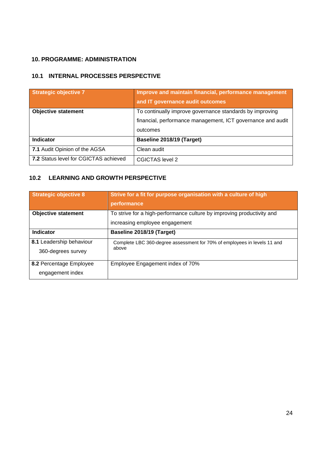### <span id="page-23-0"></span>**10. PROGRAMME: ADMINISTRATION**

# **10.1 INTERNAL PROCESSES PERSPECTIVE**

| Strategic objective 7                        | Improve and maintain financial, performance management<br>and IT governance audit outcomes |
|----------------------------------------------|--------------------------------------------------------------------------------------------|
| <b>Objective statement</b>                   | To continually improve governance standards by improving                                   |
|                                              | financial, performance management, ICT governance and audit                                |
|                                              | outcomes                                                                                   |
| <b>Indicator</b>                             | Baseline 2018/19 (Target)                                                                  |
| 7.1 Audit Opinion of the AGSA                | Clean audit                                                                                |
| <b>7.2 Status level for CGICTAS achieved</b> | CGICTAS level 2                                                                            |

# **10.2 LEARNING AND GROWTH PERSPECTIVE**

| <b>Strategic objective 8</b>                   | Strive for a fit for purpose organisation with a culture of high<br>performance                          |
|------------------------------------------------|----------------------------------------------------------------------------------------------------------|
| <b>Objective statement</b>                     | To strive for a high-performance culture by improving productivity and<br>increasing employee engagement |
| <b>Indicator</b>                               | Baseline 2018/19 (Target)                                                                                |
| 8.1 Leadership behaviour<br>360-degrees survey | Complete LBC 360-degree assessment for 70% of employees in levels 11 and<br>above                        |
| 8.2 Percentage Employee<br>engagement index    | Employee Engagement index of 70%                                                                         |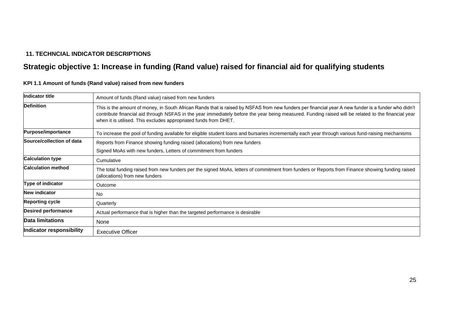# **11. TECHNCIAL INDICATOR DESCRIPTIONS**

# **Strategic objective 1: Increase in funding (Rand value) raised for financial aid for qualifying students**

<span id="page-24-0"></span>

| <b>Indicator title</b>     | Amount of funds (Rand value) raised from new funders                                                                                                                                                                                                                                                                                                                           |
|----------------------------|--------------------------------------------------------------------------------------------------------------------------------------------------------------------------------------------------------------------------------------------------------------------------------------------------------------------------------------------------------------------------------|
| <b>Definition</b>          | This is the amount of money, in South African Rands that is raised by NSFAS from new funders per financial year A new funder is a funder who didn't<br>contribute financial aid through NSFAS in the year immediately before the year being measured. Funding raised will be related to the financial year<br>when it is utilised. This excludes appropriated funds from DHET. |
| <b>Purpose/importance</b>  | To increase the pool of funding available for eligible student loans and bursaries incrementally each year through various fund-raising mechanisms                                                                                                                                                                                                                             |
| Source/collection of data  | Reports from Finance showing funding raised (allocations) from new funders                                                                                                                                                                                                                                                                                                     |
|                            | Signed MoAs with new funders, Letters of commitment from funders                                                                                                                                                                                                                                                                                                               |
| <b>Calculation type</b>    | Cumulative                                                                                                                                                                                                                                                                                                                                                                     |
| <b>Calculation method</b>  | The total funding raised from new funders per the signed MoAs, letters of commitment from funders or Reports from Finance showing funding raised<br>(allocations) from new funders                                                                                                                                                                                             |
| Type of indicator          | Outcome                                                                                                                                                                                                                                                                                                                                                                        |
| <b>New indicator</b>       | <b>No</b>                                                                                                                                                                                                                                                                                                                                                                      |
| <b>Reporting cycle</b>     | Quarterly                                                                                                                                                                                                                                                                                                                                                                      |
| <b>Desired performance</b> | Actual performance that is higher than the targeted performance is desirable                                                                                                                                                                                                                                                                                                   |
| Data limitations           | None                                                                                                                                                                                                                                                                                                                                                                           |
| Indicator responsibility   | <b>Executive Officer</b>                                                                                                                                                                                                                                                                                                                                                       |

**KPI 1.1 Amount of funds (Rand value) raised from new funders**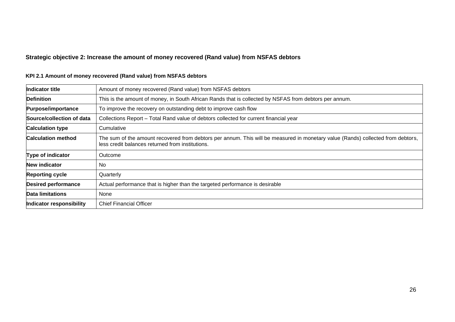# **Strategic objective 2: Increase the amount of money recovered (Rand value) from NSFAS debtors**

| Indicator title            | Amount of money recovered (Rand value) from NSFAS debtors                                                                                                                           |
|----------------------------|-------------------------------------------------------------------------------------------------------------------------------------------------------------------------------------|
| <b>Definition</b>          | This is the amount of money, in South African Rands that is collected by NSFAS from debtors per annum.                                                                              |
| <b>Purpose/importance</b>  | To improve the recovery on outstanding debt to improve cash flow                                                                                                                    |
| Source/collection of data  | Collections Report - Total Rand value of debtors collected for current financial year                                                                                               |
| <b>Calculation type</b>    | Cumulative                                                                                                                                                                          |
| <b>Calculation method</b>  | The sum of the amount recovered from debtors per annum. This will be measured in monetary value (Rands) collected from debtors,<br>less credit balances returned from institutions. |
| Type of indicator          | Outcome                                                                                                                                                                             |
| <b>New indicator</b>       | No.                                                                                                                                                                                 |
| <b>Reporting cycle</b>     | Quarterly                                                                                                                                                                           |
| <b>Desired performance</b> | Actual performance that is higher than the targeted performance is desirable                                                                                                        |
| Data limitations           | None                                                                                                                                                                                |
| Indicator responsibility   | <b>Chief Financial Officer</b>                                                                                                                                                      |

# **KPI 2.1 Amount of money recovered (Rand value) from NSFAS debtors**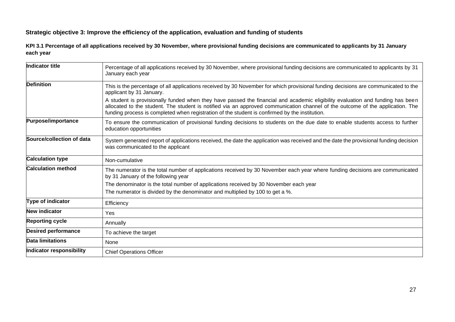### **Strategic objective 3: Improve the efficiency of the application, evaluation and funding of students**

**KPI 3.1 Percentage of all applications received by 30 November, where provisional funding decisions are communicated to applicants by 31 January each year**

| Indicator title            | Percentage of all applications received by 30 November, where provisional funding decisions are communicated to applicants by 31<br>January each year                                                                                                                                                                                                              |
|----------------------------|--------------------------------------------------------------------------------------------------------------------------------------------------------------------------------------------------------------------------------------------------------------------------------------------------------------------------------------------------------------------|
| <b>Definition</b>          | This is the percentage of all applications received by 30 November for which provisional funding decisions are communicated to the<br>applicant by 31 January.                                                                                                                                                                                                     |
|                            | A student is provisionally funded when they have passed the financial and academic eligibility evaluation and funding has been<br>allocated to the student. The student is notified via an approved communication channel of the outcome of the application. The<br>funding process is completed when registration of the student is confirmed by the institution. |
| Purpose/importance         | To ensure the communication of provisional funding decisions to students on the due date to enable students access to further<br>education opportunities                                                                                                                                                                                                           |
| Source/collection of data  | System generated report of applications received, the date the application was received and the date the provisional funding decision<br>was communicated to the applicant                                                                                                                                                                                         |
| <b>Calculation type</b>    | Non-cumulative                                                                                                                                                                                                                                                                                                                                                     |
| <b>Calculation method</b>  | The numerator is the total number of applications received by 30 November each year where funding decisions are communicated<br>by 31 January of the following year                                                                                                                                                                                                |
|                            | The denominator is the total number of applications received by 30 November each year                                                                                                                                                                                                                                                                              |
|                            | The numerator is divided by the denominator and multiplied by 100 to get a %.                                                                                                                                                                                                                                                                                      |
| Type of indicator          | Efficiency                                                                                                                                                                                                                                                                                                                                                         |
| <b>New indicator</b>       | Yes                                                                                                                                                                                                                                                                                                                                                                |
| <b>Reporting cycle</b>     | Annually                                                                                                                                                                                                                                                                                                                                                           |
| <b>Desired performance</b> | To achieve the target                                                                                                                                                                                                                                                                                                                                              |
| <b>Data limitations</b>    | None                                                                                                                                                                                                                                                                                                                                                               |
| Indicator responsibility   | <b>Chief Operations Officer</b>                                                                                                                                                                                                                                                                                                                                    |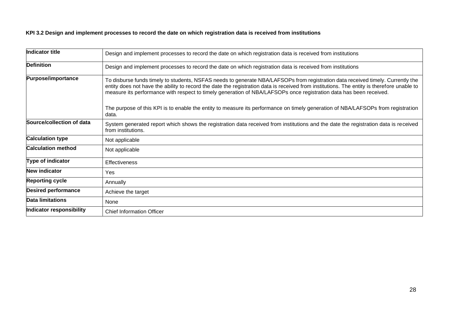### **KPI 3.2 Design and implement processes to record the date on which registration data is received from institutions**

| Indicator title            | Design and implement processes to record the date on which registration data is received from institutions                                                                                                                                                                                                                                                                                          |
|----------------------------|-----------------------------------------------------------------------------------------------------------------------------------------------------------------------------------------------------------------------------------------------------------------------------------------------------------------------------------------------------------------------------------------------------|
| <b>Definition</b>          | Design and implement processes to record the date on which registration data is received from institutions                                                                                                                                                                                                                                                                                          |
| Purpose/importance         | To disburse funds timely to students, NSFAS needs to generate NBA/LAFSOPs from registration data received timely. Currently the<br>entity does not have the ability to record the date the registration data is received from institutions. The entity is therefore unable to<br>measure its performance with respect to timely generation of NBA/LAFSOPs once registration data has been received. |
|                            | The purpose of this KPI is to enable the entity to measure its performance on timely generation of NBA/LAFSOPs from registration<br>data.                                                                                                                                                                                                                                                           |
| Source/collection of data  | System generated report which shows the registration data received from institutions and the date the registration data is received<br>from institutions.                                                                                                                                                                                                                                           |
| <b>Calculation type</b>    | Not applicable                                                                                                                                                                                                                                                                                                                                                                                      |
| <b>Calculation method</b>  | Not applicable                                                                                                                                                                                                                                                                                                                                                                                      |
| Type of indicator          | <b>Effectiveness</b>                                                                                                                                                                                                                                                                                                                                                                                |
| <b>New indicator</b>       | Yes                                                                                                                                                                                                                                                                                                                                                                                                 |
| <b>Reporting cycle</b>     | Annually                                                                                                                                                                                                                                                                                                                                                                                            |
| <b>Desired performance</b> | Achieve the target                                                                                                                                                                                                                                                                                                                                                                                  |
| <b>Data limitations</b>    | None                                                                                                                                                                                                                                                                                                                                                                                                |
| Indicator responsibility   | <b>Chief Information Officer</b>                                                                                                                                                                                                                                                                                                                                                                    |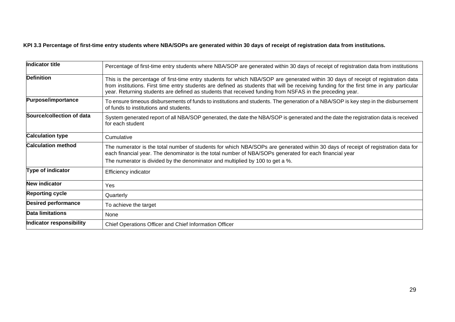# **KPI 3.3 Percentage of first-time entry students where NBA/SOPs are generated within 30 days of receipt of registration data from institutions.**

| <b>Indicator title</b>     | Percentage of first-time entry students where NBA/SOP are generated within 30 days of receipt of registration data from institutions                                                                                                                                                                                                                                                       |
|----------------------------|--------------------------------------------------------------------------------------------------------------------------------------------------------------------------------------------------------------------------------------------------------------------------------------------------------------------------------------------------------------------------------------------|
| <b>Definition</b>          | This is the percentage of first-time entry students for which NBA/SOP are generated within 30 days of receipt of registration data<br>from institutions. First time entry students are defined as students that will be receiving funding for the first time in any particular<br>year. Returning students are defined as students that received funding from NSFAS in the preceding year. |
| <b>Purpose/importance</b>  | To ensure timeous disbursements of funds to institutions and students. The generation of a NBA/SOP is key step in the disbursement<br>of funds to institutions and students.                                                                                                                                                                                                               |
| Source/collection of data  | System generated report of all NBA/SOP generated, the date the NBA/SOP is generated and the date the registration data is received<br>for each student                                                                                                                                                                                                                                     |
| <b>Calculation type</b>    | Cumulative                                                                                                                                                                                                                                                                                                                                                                                 |
| <b>Calculation method</b>  | The numerator is the total number of students for which NBA/SOPs are generated within 30 days of receipt of registration data for<br>each financial year. The denominator is the total number of NBA/SOPs generated for each financial year                                                                                                                                                |
|                            | The numerator is divided by the denominator and multiplied by 100 to get a %.                                                                                                                                                                                                                                                                                                              |
| Type of indicator          | Efficiency indicator                                                                                                                                                                                                                                                                                                                                                                       |
| <b>New indicator</b>       | Yes                                                                                                                                                                                                                                                                                                                                                                                        |
| <b>Reporting cycle</b>     | Quarterly                                                                                                                                                                                                                                                                                                                                                                                  |
| <b>Desired performance</b> | To achieve the target                                                                                                                                                                                                                                                                                                                                                                      |
| Data limitations           | None                                                                                                                                                                                                                                                                                                                                                                                       |
| Indicator responsibility   | Chief Operations Officer and Chief Information Officer                                                                                                                                                                                                                                                                                                                                     |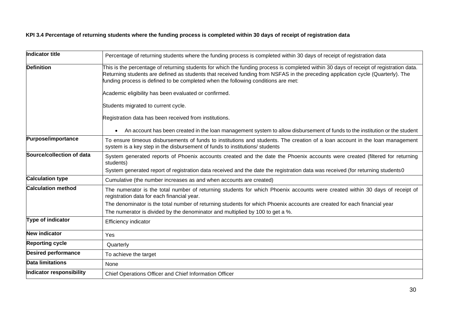# **KPI 3.4 Percentage of returning students where the funding process is completed within 30 days of receipt of registration data**

| Indicator title            | Percentage of returning students where the funding process is completed within 30 days of receipt of registration data                                                                                                                                                                                                                                          |
|----------------------------|-----------------------------------------------------------------------------------------------------------------------------------------------------------------------------------------------------------------------------------------------------------------------------------------------------------------------------------------------------------------|
| <b>Definition</b>          | This is the percentage of returning students for which the funding process is completed within 30 days of receipt of registration data.<br>Returning students are defined as students that received funding from NSFAS in the preceding application cycle (Quarterly). The<br>funding process is defined to be completed when the following conditions are met: |
|                            | Academic eligibility has been evaluated or confirmed.                                                                                                                                                                                                                                                                                                           |
|                            | Students migrated to current cycle.                                                                                                                                                                                                                                                                                                                             |
|                            | Registration data has been received from institutions.                                                                                                                                                                                                                                                                                                          |
|                            | An account has been created in the loan management system to allow disbursement of funds to the institution or the student                                                                                                                                                                                                                                      |
| Purpose/importance         | To ensure timeous disbursements of funds to institutions and students. The creation of a loan account in the loan management<br>system is a key step in the disbursement of funds to institutions/ students                                                                                                                                                     |
| Source/collection of data  | System generated reports of Phoenix accounts created and the date the Phoenix accounts were created (filtered for returning<br>students)                                                                                                                                                                                                                        |
|                            | System generated report of registration data received and the date the registration data was received (for returning students0                                                                                                                                                                                                                                  |
| <b>Calculation type</b>    | Cumulative (the number increases as and when accounts are created)                                                                                                                                                                                                                                                                                              |
| <b>Calculation method</b>  | The numerator is the total number of returning students for which Phoenix accounts were created within 30 days of receipt of<br>registration data for each financial year.                                                                                                                                                                                      |
|                            | The denominator is the total number of returning students for which Phoenix accounts are created for each financial year                                                                                                                                                                                                                                        |
|                            | The numerator is divided by the denominator and multiplied by 100 to get a %.                                                                                                                                                                                                                                                                                   |
| Type of indicator          | Efficiency indicator                                                                                                                                                                                                                                                                                                                                            |
| <b>New indicator</b>       | Yes                                                                                                                                                                                                                                                                                                                                                             |
| <b>Reporting cycle</b>     | Quarterly                                                                                                                                                                                                                                                                                                                                                       |
| <b>Desired performance</b> | To achieve the target                                                                                                                                                                                                                                                                                                                                           |
| <b>Data limitations</b>    | None                                                                                                                                                                                                                                                                                                                                                            |
| Indicator responsibility   | Chief Operations Officer and Chief Information Officer                                                                                                                                                                                                                                                                                                          |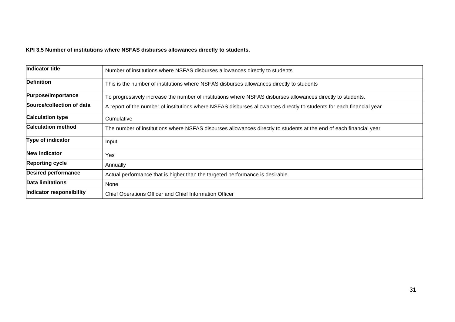# **KPI 3.5 Number of institutions where NSFAS disburses allowances directly to students.**

| Indicator title            | Number of institutions where NSFAS disburses allowances directly to students                                         |
|----------------------------|----------------------------------------------------------------------------------------------------------------------|
| <b>Definition</b>          | This is the number of institutions where NSFAS disburses allowances directly to students                             |
| <b>Purpose/importance</b>  | To progressively increase the number of institutions where NSFAS disburses allowances directly to students.          |
| Source/collection of data  | A report of the number of institutions where NSFAS disburses allowances directly to students for each financial year |
| <b>Calculation type</b>    | Cumulative                                                                                                           |
| <b>Calculation method</b>  | The number of institutions where NSFAS disburses allowances directly to students at the end of each financial year   |
| Type of indicator          | Input                                                                                                                |
| New indicator              | Yes                                                                                                                  |
| <b>Reporting cycle</b>     | Annually                                                                                                             |
| <b>Desired performance</b> | Actual performance that is higher than the targeted performance is desirable                                         |
| <b>Data limitations</b>    | None                                                                                                                 |
| Indicator responsibility   | Chief Operations Officer and Chief Information Officer                                                               |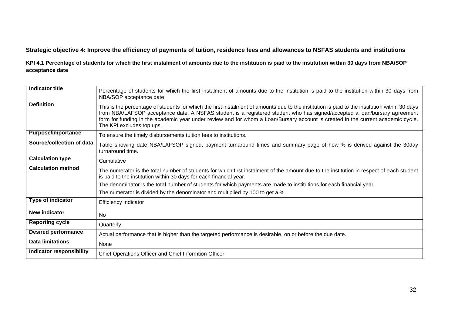# **Strategic objective 4: Improve the efficiency of payments of tuition, residence fees and allowances to NSFAS students and institutions**

**KPI 4.1 Percentage of students for which the first instalment of amounts due to the institution is paid to the institution within 30 days from NBA/SOP acceptance date**

| Indicator title                 | Percentage of students for which the first instalment of amounts due to the institution is paid to the institution within 30 days from<br>NBA/SOP acceptance date                                                                                                                                                                                                                                                                           |
|---------------------------------|---------------------------------------------------------------------------------------------------------------------------------------------------------------------------------------------------------------------------------------------------------------------------------------------------------------------------------------------------------------------------------------------------------------------------------------------|
| <b>Definition</b>               | This is the percentage of students for which the first instalment of amounts due to the institution is paid to the institution within 30 days<br>from NBA/LAFSOP acceptance date. A NSFAS student is a registered student who has signed/accepted a loan/bursary agreement<br>form for funding in the academic year under review and for whom a Loan/Bursary account is created in the current academic cycle.<br>The KPI excludes top ups. |
| <b>Purpose/importance</b>       | To ensure the timely disbursements tuition fees to institutions.                                                                                                                                                                                                                                                                                                                                                                            |
| Source/collection of data       | Table showing date NBA/LAFSOP signed, payment turnaround times and summary page of how % is derived against the 30day<br>turnaround time.                                                                                                                                                                                                                                                                                                   |
| <b>Calculation type</b>         | Cumulative                                                                                                                                                                                                                                                                                                                                                                                                                                  |
| <b>Calculation method</b>       | The numerator is the total number of students for which first instalment of the amount due to the institution in respect of each student<br>is paid to the institution within 30 days for each financial year.                                                                                                                                                                                                                              |
|                                 | The denominator is the total number of students for which payments are made to institutions for each financial year.                                                                                                                                                                                                                                                                                                                        |
|                                 | The numerator is divided by the denominator and multiplied by 100 to get a %.                                                                                                                                                                                                                                                                                                                                                               |
| Type of indicator               | <b>Efficiency indicator</b>                                                                                                                                                                                                                                                                                                                                                                                                                 |
| New indicator                   | <b>No</b>                                                                                                                                                                                                                                                                                                                                                                                                                                   |
| <b>Reporting cycle</b>          | Quarterly                                                                                                                                                                                                                                                                                                                                                                                                                                   |
| <b>Desired performance</b>      | Actual performance that is higher than the targeted performance is desirable, on or before the due date.                                                                                                                                                                                                                                                                                                                                    |
| <b>Data limitations</b>         | None                                                                                                                                                                                                                                                                                                                                                                                                                                        |
| <b>Indicator responsibility</b> | Chief Operations Officer and Chief Informtion Officer                                                                                                                                                                                                                                                                                                                                                                                       |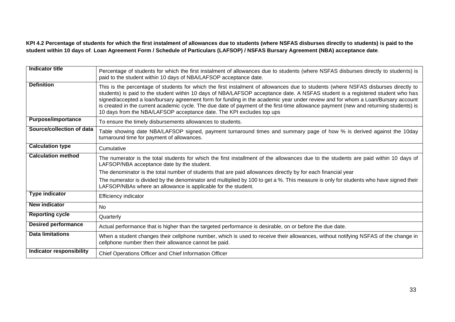**KPI 4.2 Percentage of students for which the first instalment of allowances due to students (where NSFAS disburses directly to students) is paid to the student within 10 days of**. **Loan Agreement Form / Schedule of Particulars (LAFSOP) / NSFAS Bursary Agreement (NBA) acceptance date**.

| Indicator title                 | Percentage of students for which the first instalment of allowances due to students (where NSFAS disburses directly to students) is<br>paid to the student within 10 days of NBA/LAFSOP acceptance date.                                                                                                                                                                                                                                                                                                                                                                                                                  |
|---------------------------------|---------------------------------------------------------------------------------------------------------------------------------------------------------------------------------------------------------------------------------------------------------------------------------------------------------------------------------------------------------------------------------------------------------------------------------------------------------------------------------------------------------------------------------------------------------------------------------------------------------------------------|
| <b>Definition</b>               | This is the percentage of students for which the first instalment of allowances due to students (where NSFAS disburses directly to<br>students) is paid to the student within 10 days of NBA/LAFSOP acceptance date. A NSFAS student is a registered student who has<br>signed/accepted a loan/bursary agreement form for funding in the academic year under review and for whom a Loan/Bursary account<br>is created in the current academic cycle. The due date of payment of the first-time allowance payment (new and returning students) is<br>10 days from the NBA/LAFSOP acceptance date. The KPI excludes top ups |
| <b>Purpose/importance</b>       | To ensure the timely disbursements allowances to students.                                                                                                                                                                                                                                                                                                                                                                                                                                                                                                                                                                |
| Source/collection of data       | Table showing date NBA/LAFSOP signed, payment turnaround times and summary page of how % is derived against the 10day<br>turnaround time for payment of allowances.                                                                                                                                                                                                                                                                                                                                                                                                                                                       |
| <b>Calculation type</b>         | Cumulative                                                                                                                                                                                                                                                                                                                                                                                                                                                                                                                                                                                                                |
| <b>Calculation method</b>       | The numerator is the total students for which the first installment of the allowances due to the students are paid within 10 days of<br>LAFSOP/NBA acceptance date by the student.                                                                                                                                                                                                                                                                                                                                                                                                                                        |
|                                 | The denominator is the total number of students that are paid allowances directly by for each financial year                                                                                                                                                                                                                                                                                                                                                                                                                                                                                                              |
|                                 | The numerator is divided by the denominator and multiplied by 100 to get a %. This measure is only for students who have signed their<br>LAFSOP/NBAs where an allowance is applicable for the student.                                                                                                                                                                                                                                                                                                                                                                                                                    |
| <b>Type indicator</b>           | Efficiency indicator                                                                                                                                                                                                                                                                                                                                                                                                                                                                                                                                                                                                      |
| New indicator                   | <b>No</b>                                                                                                                                                                                                                                                                                                                                                                                                                                                                                                                                                                                                                 |
| <b>Reporting cycle</b>          | Quarterly                                                                                                                                                                                                                                                                                                                                                                                                                                                                                                                                                                                                                 |
| <b>Desired performance</b>      | Actual performance that is higher than the targeted performance is desirable, on or before the due date.                                                                                                                                                                                                                                                                                                                                                                                                                                                                                                                  |
| <b>Data limitations</b>         | When a student changes their cellphone number, which is used to receive their allowances, without notifying NSFAS of the change in<br>cellphone number then their allowance cannot be paid.                                                                                                                                                                                                                                                                                                                                                                                                                               |
| <b>Indicator responsibility</b> | Chief Operations Officer and Chief Information Officer                                                                                                                                                                                                                                                                                                                                                                                                                                                                                                                                                                    |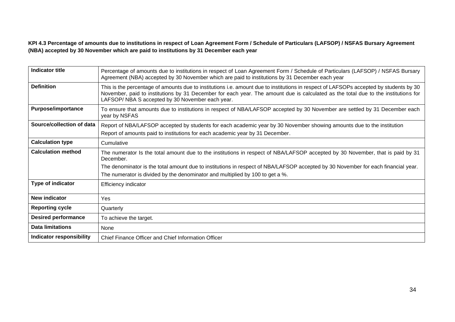**KPI 4.3 Percentage of amounts due to institutions in respect of Loan Agreement Form / Schedule of Particulars (LAFSOP) / NSFAS Bursary Agreement (NBA) accepted by 30 November which are paid to institutions by 31 December each year**

| <b>Indicator title</b>          | Percentage of amounts due to institutions in respect of Loan Agreement Form / Schedule of Particulars (LAFSOP) / NSFAS Bursary<br>Agreement (NBA) accepted by 30 November which are paid to institutions by 31 December each year                                                                                                |
|---------------------------------|----------------------------------------------------------------------------------------------------------------------------------------------------------------------------------------------------------------------------------------------------------------------------------------------------------------------------------|
| <b>Definition</b>               | This is the percentage of amounts due to institutions i.e. amount due to institutions in respect of LAFSOPs accepted by students by 30<br>November, paid to institutions by 31 December for each year. The amount due is calculated as the total due to the institutions for<br>LAFSOP/ NBA S accepted by 30 November each year. |
| <b>Purpose/importance</b>       | To ensure that amounts due to institutions in respect of NBA/LAFSOP accepted by 30 November are settled by 31 December each<br>year by NSFAS                                                                                                                                                                                     |
| Source/collection of data       | Report of NBA/LAFSOP accepted by students for each academic year by 30 November showing amounts due to the institution<br>Report of amounts paid to institutions for each academic year by 31 December.                                                                                                                          |
| <b>Calculation type</b>         | Cumulative                                                                                                                                                                                                                                                                                                                       |
| <b>Calculation method</b>       | The numerator Is the total amount due to the institutions in respect of NBA/LAFSOP accepted by 30 November, that is paid by 31<br>December.                                                                                                                                                                                      |
|                                 | The denominator is the total amount due to institutions in respect of NBA/LAFSOP accepted by 30 November for each financial year.                                                                                                                                                                                                |
|                                 | The numerator is divided by the denominator and multiplied by 100 to get a %.                                                                                                                                                                                                                                                    |
| Type of indicator               | Efficiency indicator                                                                                                                                                                                                                                                                                                             |
| New indicator                   | Yes                                                                                                                                                                                                                                                                                                                              |
| <b>Reporting cycle</b>          | Quarterly                                                                                                                                                                                                                                                                                                                        |
| <b>Desired performance</b>      | To achieve the target.                                                                                                                                                                                                                                                                                                           |
| <b>Data limitations</b>         | None                                                                                                                                                                                                                                                                                                                             |
| <b>Indicator responsibility</b> | Chief Finance Officer and Chief Information Officer                                                                                                                                                                                                                                                                              |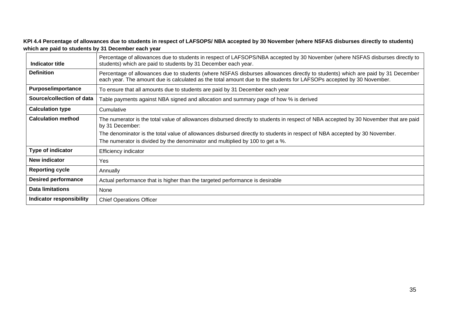**KPI 4.4 Percentage of allowances due to students in respect of LAFSOPS/ NBA accepted by 30 November (where NSFAS disburses directly to students) which are paid to students by 31 December each year**

| Indicator title            | Percentage of allowances due to students in respect of LAFSOPS/NBA accepted by 30 November (where NSFAS disburses directly to<br>students) which are paid to students by 31 December each year.                                                        |
|----------------------------|--------------------------------------------------------------------------------------------------------------------------------------------------------------------------------------------------------------------------------------------------------|
| <b>Definition</b>          | Percentage of allowances due to students (where NSFAS disburses allowances directly to students) which are paid by 31 December<br>each year. The amount due is calculated as the total amount due to the students for LAFSOPs accepted by 30 November. |
| <b>Purpose/importance</b>  | To ensure that all amounts due to students are paid by 31 December each year                                                                                                                                                                           |
| Source/collection of data  | Table payments against NBA signed and allocation and summary page of how % is derived                                                                                                                                                                  |
| <b>Calculation type</b>    | Cumulative                                                                                                                                                                                                                                             |
| <b>Calculation method</b>  | The numerator is the total value of allowances disbursed directly to students in respect of NBA accepted by 30 November that are paid<br>by 31 December:                                                                                               |
|                            | The denominator is the total value of allowances disbursed directly to students in respect of NBA accepted by 30 November.                                                                                                                             |
|                            | The numerator is divided by the denominator and multiplied by 100 to get a %.                                                                                                                                                                          |
| Type of indicator          | <b>Efficiency indicator</b>                                                                                                                                                                                                                            |
| <b>New indicator</b>       | Yes                                                                                                                                                                                                                                                    |
| <b>Reporting cycle</b>     | Annually                                                                                                                                                                                                                                               |
| <b>Desired performance</b> | Actual performance that is higher than the targeted performance is desirable                                                                                                                                                                           |
| <b>Data limitations</b>    | None                                                                                                                                                                                                                                                   |
| Indicator responsibility   | <b>Chief Operations Officer</b>                                                                                                                                                                                                                        |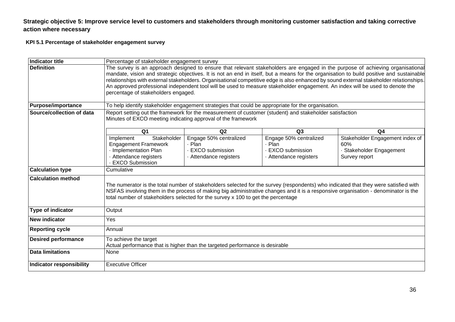### **Strategic objective 5: Improve service level to customers and stakeholders through monitoring customer satisfaction and taking corrective action where necessary**

### **KPI 5.1 Percentage of stakeholder engagement survey**

| Indicator title            | Percentage of stakeholder engagement survey                                                                                                                                                                                                                                                                                                                                                                                                                                                                                                                                                   |    |    |                |  |  |  |  |  |
|----------------------------|-----------------------------------------------------------------------------------------------------------------------------------------------------------------------------------------------------------------------------------------------------------------------------------------------------------------------------------------------------------------------------------------------------------------------------------------------------------------------------------------------------------------------------------------------------------------------------------------------|----|----|----------------|--|--|--|--|--|
| <b>Definition</b>          | The survey is an approach designed to ensure that relevant stakeholders are engaged in the purpose of achieving organisational<br>mandate, vision and strategic objectives. It is not an end in itself, but a means for the organisation to build positive and sustainable<br>relationships with external stakeholders. Organisational competitive edge is also enhanced by sound external stakeholder relationships.<br>An approved professional independent tool will be used to measure stakeholder engagement. An index will be used to denote the<br>percentage of stakeholders engaged. |    |    |                |  |  |  |  |  |
| <b>Purpose/importance</b>  | To help identify stakeholder engagement strategies that could be appropriate for the organisation.                                                                                                                                                                                                                                                                                                                                                                                                                                                                                            |    |    |                |  |  |  |  |  |
| Source/collection of data  | Report setting out the framework for the measurement of customer (student) and stakeholder satisfaction<br>Minutes of EXCO meeting indicating approval of the framework                                                                                                                                                                                                                                                                                                                                                                                                                       |    |    |                |  |  |  |  |  |
|                            | Q <sub>1</sub>                                                                                                                                                                                                                                                                                                                                                                                                                                                                                                                                                                                | Q2 | Q3 | Q <sub>4</sub> |  |  |  |  |  |
|                            | Stakeholder<br>Engage 50% centralized<br>Stakeholder Engagement index of<br>Engage 50% centralized<br>Implement<br><b>Engagement Framework</b><br>Plan<br>· Plan<br>60%<br>· Implementation Plan<br>EXCO submission<br><b>EXCO</b> submission<br>· Stakeholder Engagement<br>· Attendance registers<br>Survey report<br>Attendance registers<br>Attendance registers<br><b>EXCO Submission</b>                                                                                                                                                                                                |    |    |                |  |  |  |  |  |
| <b>Calculation type</b>    | Cumulative                                                                                                                                                                                                                                                                                                                                                                                                                                                                                                                                                                                    |    |    |                |  |  |  |  |  |
| <b>Calculation method</b>  | The numerator is the total number of stakeholders selected for the survey (respondents) who indicated that they were satisfied with<br>NSFAS involving them in the process of making big administrative changes and it is a responsive organisation - denominator is the<br>total number of stakeholders selected for the survey x 100 to get the percentage                                                                                                                                                                                                                                  |    |    |                |  |  |  |  |  |
| Type of indicator          | Output                                                                                                                                                                                                                                                                                                                                                                                                                                                                                                                                                                                        |    |    |                |  |  |  |  |  |
| New indicator              | Yes                                                                                                                                                                                                                                                                                                                                                                                                                                                                                                                                                                                           |    |    |                |  |  |  |  |  |
| <b>Reporting cycle</b>     | Annual                                                                                                                                                                                                                                                                                                                                                                                                                                                                                                                                                                                        |    |    |                |  |  |  |  |  |
| <b>Desired performance</b> | To achieve the target<br>Actual performance that is higher than the targeted performance is desirable                                                                                                                                                                                                                                                                                                                                                                                                                                                                                         |    |    |                |  |  |  |  |  |
| <b>Data limitations</b>    | None                                                                                                                                                                                                                                                                                                                                                                                                                                                                                                                                                                                          |    |    |                |  |  |  |  |  |
| Indicator responsibility   | <b>Executive Officer</b>                                                                                                                                                                                                                                                                                                                                                                                                                                                                                                                                                                      |    |    |                |  |  |  |  |  |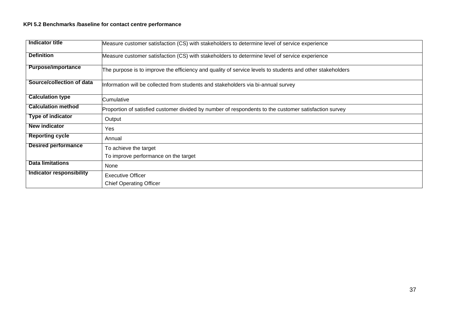### **KPI 5.2 Benchmarks /baseline for contact centre performance**

| Indicator title            | Measure customer satisfaction (CS) with stakeholders to determine level of service experience             |
|----------------------------|-----------------------------------------------------------------------------------------------------------|
| <b>Definition</b>          | Measure customer satisfaction (CS) with stakeholders to determine level of service experience             |
| <b>Purpose/importance</b>  | The purpose is to improve the efficiency and quality of service levels to students and other stakeholders |
| Source/collection of data  | Information will be collected from students and stakeholders via bi-annual survey                         |
| <b>Calculation type</b>    | lCumulative                                                                                               |
| <b>Calculation method</b>  | Proportion of satisfied customer divided by number of respondents to the customer satisfaction survey     |
| <b>Type of indicator</b>   | Output                                                                                                    |
| <b>New indicator</b>       | Yes                                                                                                       |
| <b>Reporting cycle</b>     | Annual                                                                                                    |
| <b>Desired performance</b> | To achieve the target                                                                                     |
|                            | To improve performance on the target                                                                      |
| <b>Data limitations</b>    | None                                                                                                      |
| Indicator responsibility   | <b>Executive Officer</b>                                                                                  |
|                            | <b>Chief Operating Officer</b>                                                                            |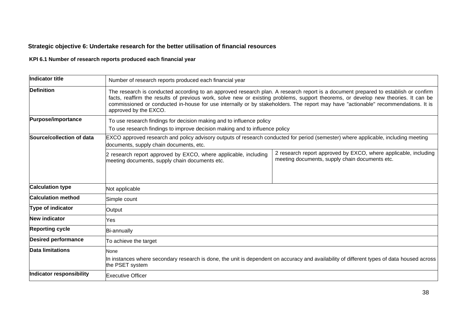# **Strategic objective 6: Undertake research for the better utilisation of financial resources**

# **KPI 6.1 Number of research reports produced each financial year**

| Indicator title            | Number of research reports produced each financial year                                                                                                                                                                                                                                                                                                                                                                                |                                                                                                                   |  |  |  |  |  |
|----------------------------|----------------------------------------------------------------------------------------------------------------------------------------------------------------------------------------------------------------------------------------------------------------------------------------------------------------------------------------------------------------------------------------------------------------------------------------|-------------------------------------------------------------------------------------------------------------------|--|--|--|--|--|
| <b>Definition</b>          | The research is conducted according to an approved research plan. A research report is a document prepared to establish or confirm<br>facts, reaffirm the results of previous work, solve new or existing problems, support theorems, or develop new theories. It can be<br>commissioned or conducted in-house for use internally or by stakeholders. The report may have "actionable" recommendations. It is<br>approved by the EXCO. |                                                                                                                   |  |  |  |  |  |
| Purpose/importance         | To use research findings for decision making and to influence policy<br>To use research findings to improve decision making and to influence policy                                                                                                                                                                                                                                                                                    |                                                                                                                   |  |  |  |  |  |
| Source/collection of data  | EXCO approved research and policy advisory outputs of research conducted for period (semester) where applicable, including meeting<br>documents, supply chain documents, etc.                                                                                                                                                                                                                                                          |                                                                                                                   |  |  |  |  |  |
|                            | 2 research report approved by EXCO, where applicable, including<br>meeting documents, supply chain documents etc.                                                                                                                                                                                                                                                                                                                      | 2 research report approved by EXCO, where applicable, including<br>meeting documents, supply chain documents etc. |  |  |  |  |  |
| <b>Calculation type</b>    | Not applicable                                                                                                                                                                                                                                                                                                                                                                                                                         |                                                                                                                   |  |  |  |  |  |
| <b>Calculation method</b>  | Simple count                                                                                                                                                                                                                                                                                                                                                                                                                           |                                                                                                                   |  |  |  |  |  |
| Type of indicator          | Output                                                                                                                                                                                                                                                                                                                                                                                                                                 |                                                                                                                   |  |  |  |  |  |
| New indicator              | Yes                                                                                                                                                                                                                                                                                                                                                                                                                                    |                                                                                                                   |  |  |  |  |  |
| <b>Reporting cycle</b>     | Bi-annually                                                                                                                                                                                                                                                                                                                                                                                                                            |                                                                                                                   |  |  |  |  |  |
| <b>Desired performance</b> | To achieve the target                                                                                                                                                                                                                                                                                                                                                                                                                  |                                                                                                                   |  |  |  |  |  |
| <b>Data limitations</b>    | None<br>In instances where secondary research is done, the unit is dependent on accuracy and availability of different types of data housed across<br>the PSET system                                                                                                                                                                                                                                                                  |                                                                                                                   |  |  |  |  |  |
| Indicator responsibility   | <b>Executive Officer</b>                                                                                                                                                                                                                                                                                                                                                                                                               |                                                                                                                   |  |  |  |  |  |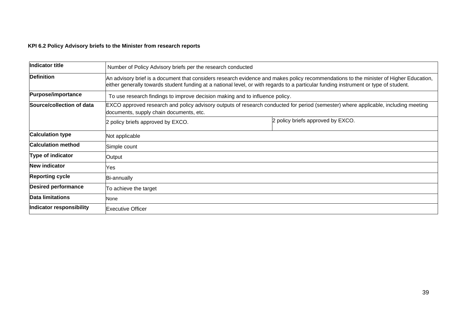### **KPI 6.2 Policy Advisory briefs to the Minister from research reports**

| Indicator title            | Number of Policy Advisory briefs per the research conducted                                                                                                                                                                                                                    |                                                                              |  |  |  |  |
|----------------------------|--------------------------------------------------------------------------------------------------------------------------------------------------------------------------------------------------------------------------------------------------------------------------------|------------------------------------------------------------------------------|--|--|--|--|
| <b>Definition</b>          | An advisory brief is a document that considers research evidence and makes policy recommendations to the minister of Higher Education,<br>either generally towards student funding at a national level, or with regards to a particular funding instrument or type of student. |                                                                              |  |  |  |  |
| Purpose/importance         |                                                                                                                                                                                                                                                                                | To use research findings to improve decision making and to influence policy. |  |  |  |  |
| Source/collection of data  | EXCO approved research and policy advisory outputs of research conducted for period (semester) where applicable, including meeting<br>documents, supply chain documents, etc.                                                                                                  |                                                                              |  |  |  |  |
|                            | 2 policy briefs approved by EXCO.                                                                                                                                                                                                                                              | 2 policy briefs approved by EXCO.                                            |  |  |  |  |
| <b>Calculation type</b>    | Not applicable                                                                                                                                                                                                                                                                 |                                                                              |  |  |  |  |
| <b>Calculation method</b>  | Simple count                                                                                                                                                                                                                                                                   |                                                                              |  |  |  |  |
| Type of indicator          | Output                                                                                                                                                                                                                                                                         |                                                                              |  |  |  |  |
| New indicator              | Yes                                                                                                                                                                                                                                                                            |                                                                              |  |  |  |  |
| <b>Reporting cycle</b>     | <b>Bi-annually</b>                                                                                                                                                                                                                                                             |                                                                              |  |  |  |  |
| <b>Desired performance</b> | To achieve the target                                                                                                                                                                                                                                                          |                                                                              |  |  |  |  |
| Data limitations           | None                                                                                                                                                                                                                                                                           |                                                                              |  |  |  |  |
| Indicator responsibility   | <b>Executive Officer</b>                                                                                                                                                                                                                                                       |                                                                              |  |  |  |  |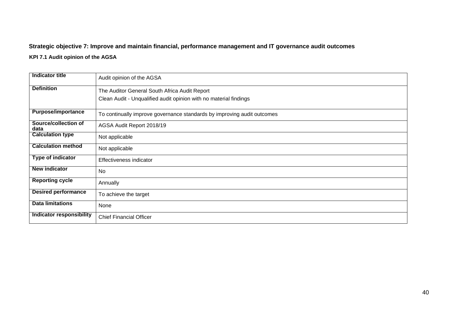# **Strategic objective 7: Improve and maintain financial, performance management and IT governance audit outcomes**

### **KPI 7.1 Audit opinion of the AGSA**

| <b>Indicator title</b>          | Audit opinion of the AGSA                                               |
|---------------------------------|-------------------------------------------------------------------------|
| <b>Definition</b>               | The Auditor General South Africa Audit Report                           |
|                                 | Clean Audit - Unqualified audit opinion with no material findings       |
| <b>Purpose/importance</b>       | To continually improve governance standards by improving audit outcomes |
| Source/collection of<br>data    | AGSA Audit Report 2018/19                                               |
| <b>Calculation type</b>         | Not applicable                                                          |
| <b>Calculation method</b>       | Not applicable                                                          |
| <b>Type of indicator</b>        | Effectiveness indicator                                                 |
| <b>New indicator</b>            | No                                                                      |
| <b>Reporting cycle</b>          | Annually                                                                |
| <b>Desired performance</b>      | To achieve the target                                                   |
| <b>Data limitations</b>         | None                                                                    |
| <b>Indicator responsibility</b> | <b>Chief Financial Officer</b>                                          |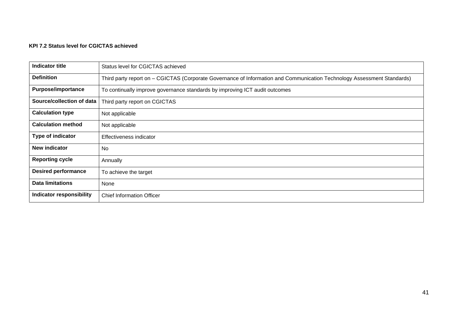### **KPI 7.2 Status level for CGICTAS achieved**

| Indicator title                 | Status level for CGICTAS achieved                                                                                       |
|---------------------------------|-------------------------------------------------------------------------------------------------------------------------|
| <b>Definition</b>               | Third party report on - CGICTAS (Corporate Governance of Information and Communication Technology Assessment Standards) |
| <b>Purpose/importance</b>       | To continually improve governance standards by improving ICT audit outcomes                                             |
| Source/collection of data       | Third party report on CGICTAS                                                                                           |
| <b>Calculation type</b>         | Not applicable                                                                                                          |
| <b>Calculation method</b>       | Not applicable                                                                                                          |
| Type of indicator               | Effectiveness indicator                                                                                                 |
| <b>New indicator</b>            | <b>No</b>                                                                                                               |
| <b>Reporting cycle</b>          | Annually                                                                                                                |
| <b>Desired performance</b>      | To achieve the target                                                                                                   |
| <b>Data limitations</b>         | None                                                                                                                    |
| <b>Indicator responsibility</b> | <b>Chief Information Officer</b>                                                                                        |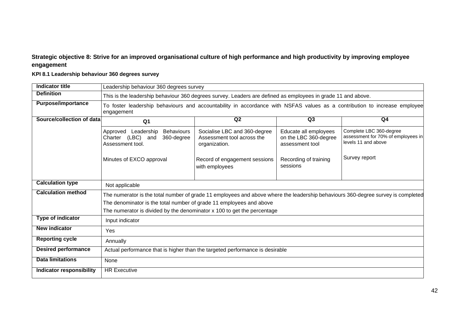# **Strategic objective 8: Strive for an improved organisational culture of high performance and high productivity by improving employee engagement**

# **KPI 8.1 Leadership behaviour 360 degrees survey**

| Indicator title                 | Leadership behaviour 360 degrees survey                                                                                           |                                                                                                                                                                                                                                          |  |  |  |  |  |  |  |  |
|---------------------------------|-----------------------------------------------------------------------------------------------------------------------------------|------------------------------------------------------------------------------------------------------------------------------------------------------------------------------------------------------------------------------------------|--|--|--|--|--|--|--|--|
| <b>Definition</b>               | This is the leadership behaviour 360 degrees survey. Leaders are defined as employees in grade 11 and above.                      |                                                                                                                                                                                                                                          |  |  |  |  |  |  |  |  |
| <b>Purpose/importance</b>       | engagement                                                                                                                        | To foster leadership behaviours and accountability in accordance with NSFAS values as a contribution to increase employee                                                                                                                |  |  |  |  |  |  |  |  |
| Source/collection of data       | Q2<br>Q3<br>Q4<br>Q <sub>1</sub>                                                                                                  |                                                                                                                                                                                                                                          |  |  |  |  |  |  |  |  |
|                                 | Approved Leadership<br><b>Behaviours</b><br>Charter (LBC) and<br>360-degree<br>Assessment tool.                                   | Socialise LBC and 360-degree<br>Complete LBC 360-degree<br>Educate all employees<br>assessment for 70% of employees in<br>on the LBC 360-degree<br>Assessment tool across the<br>levels 11 and above<br>assessment tool<br>organization. |  |  |  |  |  |  |  |  |
|                                 | Survey report<br>Minutes of EXCO approval<br>Record of engagement sessions<br>Recording of training<br>sessions<br>with employees |                                                                                                                                                                                                                                          |  |  |  |  |  |  |  |  |
| <b>Calculation type</b>         | Not applicable                                                                                                                    |                                                                                                                                                                                                                                          |  |  |  |  |  |  |  |  |
| <b>Calculation method</b>       | The numerator is the total number of grade 11 employees and above where the leadership behaviours 360-degree survey is completed  |                                                                                                                                                                                                                                          |  |  |  |  |  |  |  |  |
|                                 | The denominator is the total number of grade 11 employees and above                                                               |                                                                                                                                                                                                                                          |  |  |  |  |  |  |  |  |
|                                 | The numerator is divided by the denominator x 100 to get the percentage                                                           |                                                                                                                                                                                                                                          |  |  |  |  |  |  |  |  |
| <b>Type of indicator</b>        | Input indicator                                                                                                                   |                                                                                                                                                                                                                                          |  |  |  |  |  |  |  |  |
| <b>New indicator</b>            | Yes                                                                                                                               |                                                                                                                                                                                                                                          |  |  |  |  |  |  |  |  |
| <b>Reporting cycle</b>          | Annually                                                                                                                          |                                                                                                                                                                                                                                          |  |  |  |  |  |  |  |  |
| <b>Desired performance</b>      |                                                                                                                                   | Actual performance that is higher than the targeted performance is desirable                                                                                                                                                             |  |  |  |  |  |  |  |  |
| <b>Data limitations</b>         | None                                                                                                                              |                                                                                                                                                                                                                                          |  |  |  |  |  |  |  |  |
| <b>Indicator responsibility</b> | <b>HR Executive</b>                                                                                                               |                                                                                                                                                                                                                                          |  |  |  |  |  |  |  |  |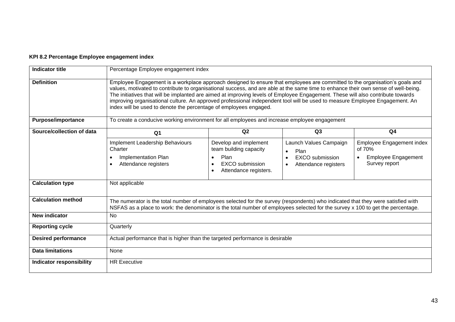### **KPI 8.2 Percentage Employee engagement index**

| <b>Indicator title</b>          |                                                                                                                                                                                                                                                                                                                                                                                                                                                                                                                                                                                                          | Percentage Employee engagement index                                                                       |                                                                                                            |                                                                                                 |  |  |  |  |  |
|---------------------------------|----------------------------------------------------------------------------------------------------------------------------------------------------------------------------------------------------------------------------------------------------------------------------------------------------------------------------------------------------------------------------------------------------------------------------------------------------------------------------------------------------------------------------------------------------------------------------------------------------------|------------------------------------------------------------------------------------------------------------|------------------------------------------------------------------------------------------------------------|-------------------------------------------------------------------------------------------------|--|--|--|--|--|
| <b>Definition</b>               | Employee Engagement is a workplace approach designed to ensure that employees are committed to the organisation's goals and<br>values, motivated to contribute to organisational success, and are able at the same time to enhance their own sense of well-being.<br>The initiatives that will be implanted are aimed at improving levels of Employee Engagement. These will also contribute towards<br>improving organisational culture. An approved professional independent tool will be used to measure Employee Engagement. An<br>index will be used to denote the percentage of employees engaged. |                                                                                                            |                                                                                                            |                                                                                                 |  |  |  |  |  |
| <b>Purpose/importance</b>       |                                                                                                                                                                                                                                                                                                                                                                                                                                                                                                                                                                                                          | To create a conducive working environment for all employees and increase employee engagement               |                                                                                                            |                                                                                                 |  |  |  |  |  |
| Source/collection of data       | Q <sub>1</sub>                                                                                                                                                                                                                                                                                                                                                                                                                                                                                                                                                                                           | Q2<br>Q3<br>Q <sub>4</sub>                                                                                 |                                                                                                            |                                                                                                 |  |  |  |  |  |
|                                 | Implement Leadership Behaviours<br>Charter<br>Implementation Plan<br>Attendance registers                                                                                                                                                                                                                                                                                                                                                                                                                                                                                                                | Develop and implement<br>team building capacity<br>Plan<br><b>EXCO</b> submission<br>Attendance registers. | Launch Values Campaign<br>Plan<br><b>EXCO</b> submission<br>$\bullet$<br>Attendance registers<br>$\bullet$ | Employee Engagement index<br>of 70%<br><b>Employee Engagement</b><br>$\bullet$<br>Survey report |  |  |  |  |  |
| <b>Calculation type</b>         | Not applicable                                                                                                                                                                                                                                                                                                                                                                                                                                                                                                                                                                                           |                                                                                                            |                                                                                                            |                                                                                                 |  |  |  |  |  |
| <b>Calculation method</b>       | The numerator is the total number of employees selected for the survey (respondents) who indicated that they were satisfied with<br>NSFAS as a place to work: the denominator is the total number of employees selected for the survey x 100 to get the percentage.                                                                                                                                                                                                                                                                                                                                      |                                                                                                            |                                                                                                            |                                                                                                 |  |  |  |  |  |
| <b>New indicator</b>            | No                                                                                                                                                                                                                                                                                                                                                                                                                                                                                                                                                                                                       |                                                                                                            |                                                                                                            |                                                                                                 |  |  |  |  |  |
| <b>Reporting cycle</b>          | Quarterly                                                                                                                                                                                                                                                                                                                                                                                                                                                                                                                                                                                                |                                                                                                            |                                                                                                            |                                                                                                 |  |  |  |  |  |
| <b>Desired performance</b>      | Actual performance that is higher than the targeted performance is desirable                                                                                                                                                                                                                                                                                                                                                                                                                                                                                                                             |                                                                                                            |                                                                                                            |                                                                                                 |  |  |  |  |  |
| <b>Data limitations</b>         | None                                                                                                                                                                                                                                                                                                                                                                                                                                                                                                                                                                                                     |                                                                                                            |                                                                                                            |                                                                                                 |  |  |  |  |  |
| <b>Indicator responsibility</b> | <b>HR Executive</b>                                                                                                                                                                                                                                                                                                                                                                                                                                                                                                                                                                                      |                                                                                                            |                                                                                                            |                                                                                                 |  |  |  |  |  |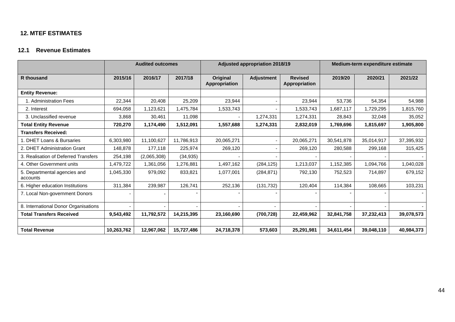# **12. MTEF ESTIMATES**

# **12.1 Revenue Estimates**

<span id="page-43-1"></span><span id="page-43-0"></span>

|                                          | <b>Audited outcomes</b> |             | <b>Adjusted appropriation 2018/19</b> |                           |                   | Medium-term expenditure estimate |            |            |            |
|------------------------------------------|-------------------------|-------------|---------------------------------------|---------------------------|-------------------|----------------------------------|------------|------------|------------|
| <b>R</b> thousand                        | 2015/16                 | 2016/17     | 2017/18                               | Original<br>Appropriation | <b>Adjustment</b> | <b>Revised</b><br>Appropriation  | 2019/20    | 2020/21    | 2021/22    |
| <b>Entity Revenue:</b>                   |                         |             |                                       |                           |                   |                                  |            |            |            |
| 1. Administration Fees                   | 22,344                  | 20,408      | 25,209                                | 23,944                    |                   | 23,944                           | 53,736     | 54,354     | 54,988     |
| 2. Interest                              | 694,058                 | 1,123,621   | 1,475,784                             | 1,533,743                 |                   | 1,533,743                        | 1,687,117  | 1,729,295  | 1,815,760  |
| 3. Unclassified revenue                  | 3,868                   | 30,461      | 11,098                                |                           | 1,274,331         | 1,274,331                        | 28,843     | 32,048     | 35,052     |
| <b>Total Entity Revenue</b>              | 720,270                 | 1,174,490   | 1,512,091                             | 1,557,688                 | 1,274,331         | 2,832,019                        | 1,769,696  | 1,815,697  | 1,905,800  |
| <b>Transfers Received:</b>               |                         |             |                                       |                           |                   |                                  |            |            |            |
| 1. DHET Loans & Bursaries                | 6,303,980               | 11,100,627  | 11,786,913                            | 20,065,271                |                   | 20,065,271                       | 30,541,878 | 35,014,917 | 37,395,932 |
| 2. DHET Administration Grant             | 148,878                 | 177,118     | 225,974                               | 269,120                   |                   | 269,120                          | 280,588    | 299,168    | 315,425    |
| 3. Realisation of Deferred Transfers     | 254,198                 | (2,065,308) | (34, 935)                             |                           |                   |                                  |            |            |            |
| 4. Other Government units                | 1,479,722               | 1,361,056   | 1,276,881                             | 1,497,162                 | (284, 125)        | 1,213,037                        | 1,152,385  | 1,094,766  | 1,040,028  |
| 5. Departmental agencies and<br>accounts | 1,045,330               | 979,092     | 833,821                               | 1,077,001                 | (284, 871)        | 792,130                          | 752,523    | 714,897    | 679,152    |
| 6. Higher education Institutions         | 311,384                 | 239,987     | 126,741                               | 252,136                   | (131, 732)        | 120,404                          | 114,384    | 108,665    | 103,231    |
| 7. Local Non-government Donors           |                         |             |                                       |                           |                   |                                  |            |            |            |
| 8. International Donor Organisations     |                         |             |                                       |                           |                   |                                  |            |            |            |
| <b>Total Transfers Received</b>          | 9,543,492               | 11,792,572  | 14,215,395                            | 23,160,690                | (700, 728)        | 22,459,962                       | 32,841,758 | 37,232,413 | 39,078,573 |
|                                          |                         |             |                                       |                           |                   |                                  |            |            |            |
| <b>Total Revenue</b>                     | 10,263,762              | 12,967,062  | 15,727,486                            | 24,718,378                | 573,603           | 25,291,981                       | 34,611,454 | 39,048,110 | 40,984,373 |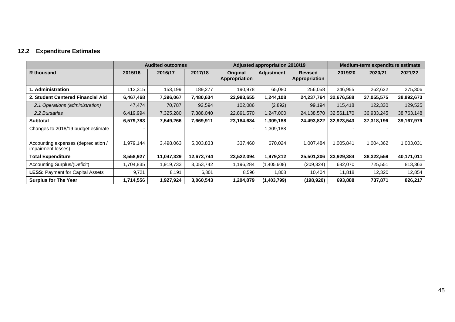# **12.2 Expenditure Estimates**

<span id="page-44-0"></span>

|                                                           |           | <b>Audited outcomes</b> |            |                           | <b>Adjusted appropriation 2018/19</b> |                                 | Medium-term expenditure estimate |            |            |  |
|-----------------------------------------------------------|-----------|-------------------------|------------|---------------------------|---------------------------------------|---------------------------------|----------------------------------|------------|------------|--|
| R thousand                                                | 2015/16   | 2016/17                 | 2017/18    | Original<br>Appropriation | <b>Adjustment</b>                     | <b>Revised</b><br>Appropriation | 2019/20                          | 2020/21    | 2021/22    |  |
| 1. Administration                                         | 112,315   | 153,199                 | 189,277    | 190,978                   | 65,080                                | 256,058                         | 246,955                          | 262,622    | 275,306    |  |
| 2. Student Centered Financial Aid                         | 6,467,468 | 7,396,067               | 7,480,634  | 22,993,655                | 1,244,108                             | 24,237,764                      | 32,676,588                       | 37,055,575 | 38,892,673 |  |
| 2.1 Operations (administration)                           | 47,474    | 70,787                  | 92,594     | 102,086                   | (2,892)                               | 99,194                          | 115,418                          | 122,330    | 129,525    |  |
| 2.2 Bursaries                                             | 6,419,994 | 7,325,280               | 7,388,040  | 22,891,570                | 1,247,000                             | 24,138,570                      | 32,561,170                       | 36,933,245 | 38,763,148 |  |
| Subtotal                                                  | 6,579,783 | 7,549,266               | 7,669,911  | 23,184,634                | 1,309,188                             | 24,493,822                      | 32,923,543                       | 37,318,196 | 39,167,979 |  |
| Changes to 2018/19 budget estimate                        |           |                         |            |                           | 1,309,188                             |                                 |                                  |            |            |  |
| Accounting expenses (depreciation /<br>impairment losses) | 1,979,144 | 3,498,063               | 5,003,833  | 337,460                   | 670,024                               | 1,007,484                       | 1,005,841                        | 1,004,362  | 1,003,031  |  |
| <b>Total Expenditure</b>                                  | 8,558,927 | 11,047,329              | 12,673,744 | 23,522,094                | 1,979,212                             | 25,501,306                      | 33,929,384                       | 38,322,559 | 40,171,011 |  |
| Accounting Surplus/(Deficit)                              | 1,704,835 | 1,919,733               | 3,053,742  | 1,196,284                 | (1,405,608)                           | (209,324)                       | 682,070                          | 725,551    | 813,363    |  |
| <b>LESS: Payment for Capital Assets</b>                   | 9,721     | 8,191                   | 6,801      | 8,596                     | 1,808                                 | 10,404                          | 11,818                           | 12,320     | 12,854     |  |
| <b>Surplus for The Year</b>                               | 1,714,556 | 1,927,924               | 3,060,543  | 1,204,879                 | (1,403,799)                           | (198,920)                       | 693,888                          | 737,871    | 826,217    |  |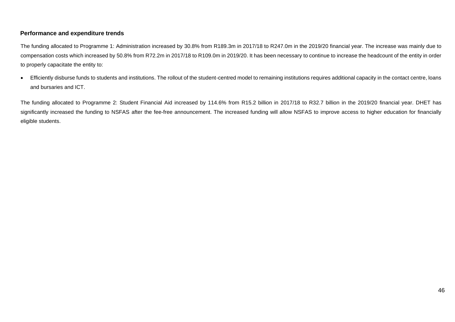### **Performance and expenditure trends**

The funding allocated to Programme 1: Administration increased by 30.8% from R189.3m in 2017/18 to R247.0m in the 2019/20 financial year. The increase was mainly due to compensation costs which increased by 50.8% from R72.2m in 2017/18 to R109.0m in 2019/20. It has been necessary to continue to increase the headcount of the entity in order to properly capacitate the entity to:

• Efficiently disburse funds to students and institutions. The rollout of the student-centred model to remaining institutions requires additional capacity in the contact centre, loans and bursaries and ICT.

The funding allocated to Programme 2: Student Financial Aid increased by 114.6% from R15.2 billion in 2017/18 to R32.7 billion in the 2019/20 financial year. DHET has significantly increased the funding to NSFAS after the fee-free announcement. The increased funding will allow NSFAS to improve access to higher education for financially eligible students.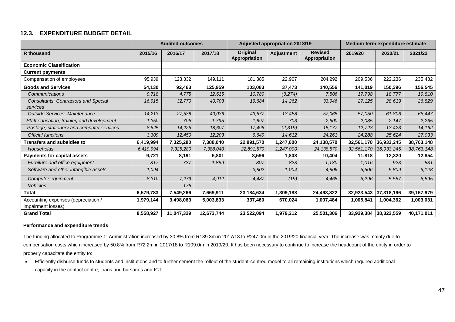### **12.3. EXPENDITURE BUDGET DETAIL**

|                                                           |           | <b>Audited outcomes</b> |            |                           | <b>Adjusted appropriation 2018/19</b> |                                 | Medium-term expenditure estimate |                       |            |
|-----------------------------------------------------------|-----------|-------------------------|------------|---------------------------|---------------------------------------|---------------------------------|----------------------------------|-----------------------|------------|
| <b>R</b> thousand                                         | 2015/16   | 2016/17                 | 2017/18    | Original<br>Appropriation | <b>Adjustment</b>                     | <b>Revised</b><br>Appropriation | 2019/20                          | 2020/21               | 2021/22    |
| <b>Economic Classification</b>                            |           |                         |            |                           |                                       |                                 |                                  |                       |            |
| <b>Current payments</b>                                   |           |                         |            |                           |                                       |                                 |                                  |                       |            |
| Compensation of employees                                 | 95,939    | 123,332                 | 149,111    | 181,385                   | 22,907                                | 204,292                         | 209,536                          | 222,236               | 235,432    |
| <b>Goods and Services</b>                                 | 54,130    | 92,463                  | 125,959    | 103,083                   | 37,473                                | 140,556                         | 141,019                          | 150,396               | 156,545    |
| Communications                                            | 9.718     | 4,775                   | 12,615     | 10,780                    | (3,274)                               | 7,506                           | 17,798                           | 18,777                | 19,810     |
| Consultants, Contractors and Special<br>services          | 16,915    | 32,770                  | 40,703     | 19,684                    | 14,262                                | 33,946                          | 27,125                           | 28,619                | 26,829     |
| Outside Services, Maintenance                             | 14,213    | 27,538                  | 40,036     | 43,577                    | 13,488                                | 57,065                          | 57,050                           | 61,806                | 66,447     |
| Staff education, training and development                 | 1,350     | 706                     | 1,795      | 1,897                     | 703                                   | 2,600                           | 2,035                            | 2,147                 | 2,265      |
| Postage, stationery and computer services                 | 8.625     | 14,225                  | 18,607     | 17,496                    | (2, 319)                              | 15,177                          | 12,723                           | 13,423                | 14,162     |
| <b>Official functions</b>                                 | 3,309     | 12.450                  | 12.203     | 9,649                     | 14.612                                | 24.261                          | 24,288                           | 25,624                | 27,033     |
| <b>Transfers and subsidies to</b>                         | 6,419,994 | 7,325,280               | 7,388,040  | 22,891,570                | 1,247,000                             | 24,138,570                      |                                  | 32,561,170 36,933,245 | 38,763,148 |
| <b>Households</b>                                         | 6,419,994 | 7,325,280               | 7,388,040  | 22,891,570                | 1,247,000                             | 24, 138, 570                    | 32,561,170                       | 36,933,245            | 38,763,148 |
| <b>Payments for capital assets</b>                        | 9,721     | 8,191                   | 6,801      | 8,596                     | 1,808                                 | 10,404                          | 11,818                           | 12,320                | 12,854     |
| Furniture and office equipment                            | 317       | 737                     | 1,889      | 307                       | 823                                   | 1,130                           | 1,016                            | 923                   | 831        |
| Software and other intangible assets                      | 1,094     |                         |            | 3,802                     | 1,004                                 | 4,806                           | 5,506                            | 5,809                 | 6,128      |
| Computer equipment                                        | 8,310     | 7,279                   | 4,912      | 4,487                     | (19)                                  | 4,468                           | 5,296                            | 5,587                 | 5,895      |
| <b>Vehicles</b>                                           |           | 175                     |            |                           |                                       |                                 |                                  |                       |            |
| <b>Total</b>                                              | 6,579,783 | 7,549,266               | 7,669,911  | 23,184,634                | 1,309,188                             | 24,493,822                      |                                  | 32,923,543 37,318,196 | 39,167,979 |
| Accounting expenses (depreciation /<br>impairment losses) | 1,979,144 | 3,498,063               | 5,003,833  | 337,460                   | 670,024                               | 1,007,484                       | 1,005,841                        | 1,004,362             | 1,003,031  |
| <b>Grand Total</b>                                        | 8,558,927 | 11,047,329              | 12,673,744 | 23,522,094                | 1,979,212                             | 25,501,306                      |                                  | 33,929,384 38,322,559 | 40,171,011 |

### <span id="page-46-0"></span>**Performance and expenditure trends**

The funding allocated to Programme 1: Administration increased by 30.8% from R189.3m in 2017/18 to R247.0m in the 2019/20 financial year. The increase was mainly due to compensation costs which increased by 50.8% from R72.2m in 2017/18 to R109.0m in 2019/20. It has been necessary to continue to increase the headcount of the entity in order to properly capacitate the entity to:

• Efficiently disburse funds to students and institutions and to further cement the rollout of the student-centred model to all remaining institutions which required additional capacity in the contact centre, loans and bursaries and ICT.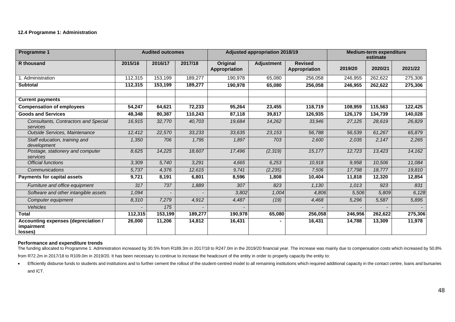#### **12.4 Programme 1: Administration**

| Programme 1                                                  |         | <b>Audited outcomes</b> |         |                           | <b>Adjusted appropriation 2018/19</b> |                                 | <b>Medium-term expenditure</b><br>estimate |         |         |
|--------------------------------------------------------------|---------|-------------------------|---------|---------------------------|---------------------------------------|---------------------------------|--------------------------------------------|---------|---------|
| R thousand                                                   | 2015/16 | 2016/17                 | 2017/18 | Original<br>Appropriation | <b>Adjustment</b>                     | <b>Revised</b><br>Appropriation | 2019/20                                    | 2020/21 | 2021/22 |
| 1. Administration                                            | 112,315 | 153,199                 | 189,277 | 190,978                   | 65,080                                | 256,058                         | 246,955                                    | 262,622 | 275,306 |
| <b>Subtotal</b>                                              | 112,315 | 153,199                 | 189,277 | 190,978                   | 65,080                                | 256,058                         | 246,955                                    | 262,622 | 275,306 |
| <b>Current payments</b>                                      |         |                         |         |                           |                                       |                                 |                                            |         |         |
| <b>Compensation of employees</b>                             | 54,247  | 64,621                  | 72,233  | 95,264                    | 23,455                                | 118,719                         | 108,959                                    | 115,563 | 122,425 |
| <b>Goods and Services</b>                                    | 48,348  | 80,387                  | 110,243 | 87,118                    | 39,817                                | 126,935                         | 126,179                                    | 134,739 | 140,028 |
| Consultants, Contractors and Special<br>services             | 16,915  | 32,770                  | 40,703  | 19,684                    | 14,262                                | 33,946                          | 27,125                                     | 28,619  | 26,829  |
| Outside Services, Maintenance                                | 12,412  | 22,570                  | 33,233  | 33,635                    | 23,153                                | 56,788                          | 56,539                                     | 61,267  | 65,879  |
| Staff education, training and<br>development                 | 1,350   | 706                     | 1,795   | 1,897                     | 703                                   | 2,600                           | 2,035                                      | 2,147   | 2,265   |
| Postage, stationery and computer<br>services                 | 8,625   | 14,225                  | 18,607  | 17,496                    | (2,319)                               | 15,177                          | 12,723                                     | 13,423  | 14,162  |
| <b>Official functions</b>                                    | 3,309   | 5,740                   | 3,291   | 4,665                     | 6,253                                 | 10,918                          | 9,958                                      | 10,506  | 11,084  |
| Communications                                               | 5,737   | 4,376                   | 12,615  | 9,741                     | (2, 235)                              | 7,506                           | 17,798                                     | 18,777  | 19,810  |
| <b>Payments for capital assets</b>                           | 9,721   | 8,191                   | 6,801   | 8,596                     | 1,808                                 | 10,404                          | 11,818                                     | 12,320  | 12,854  |
| Furniture and office equipment                               | 317     | 737                     | 1,889   | 307                       | 823                                   | 1,130                           | 1,013                                      | 923     | 831     |
| Software and other intangible assets                         | 1,094   |                         |         | 3,802                     | 1,004                                 | 4,806                           | 5,506                                      | 5,809   | 6,128   |
| Computer equipment                                           | 8,310   | 7,279                   | 4,912   | 4,487                     | (19)                                  | 4,468                           | 5,296                                      | 5,587   | 5,895   |
| Vehicles                                                     |         | 175                     |         |                           |                                       |                                 |                                            |         |         |
| <b>Total</b>                                                 | 112,315 | 153,199                 | 189,277 | 190,978                   | 65,080                                | 256,058                         | 246,956                                    | 262,622 | 275,306 |
| Accounting expenses (depreciation /<br>impairment<br>losses) | 26,000  | 11,206                  | 14,812  | 16,431                    |                                       | 16,431                          | 14,788                                     | 13,309  | 11,978  |

#### **Performance and expenditure trends**

The funding allocated to Programme 1: Administration increased by 30.5% from R189.3m in 2017/18 to R247.0m in the 2019/20 financial year. The increase was mainly due to compensation costs which increased by 50.8%

from R72.2m in 2017/18 to R109.0m in 2019/20. It has been necessary to continue to increase the headcount of the entity in order to properly capacity the entity to:

. Efficiently disburse funds to students and institutions and to further cement the rollout of the student-centred model to all remaining institutions which required additional capacity in the contact centre, loans and bur and ICT.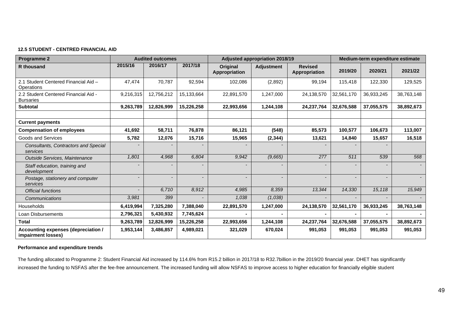### **12.5 STUDENT - CENTRED FINANCIAL AID**

| <b>Programme 2</b>                                        | <b>Audited outcomes</b> |            |                | <b>Adjusted appropriation 2018/19</b> | Medium-term expenditure estimate |                                 |            |            |            |
|-----------------------------------------------------------|-------------------------|------------|----------------|---------------------------------------|----------------------------------|---------------------------------|------------|------------|------------|
| <b>R</b> thousand                                         | 2015/16                 | 2016/17    | 2017/18        | <b>Original</b><br>Appropriation      | <b>Adjustment</b>                | <b>Revised</b><br>Appropriation | 2019/20    | 2020/21    | 2021/22    |
| 2.1 Student Centered Financial Aid -<br>Operations        | 47,474                  | 70,787     | 92,594         | 102,086                               | (2,892)                          | 99,194                          | 115,418    | 122,330    | 129,525    |
| 2.2 Student Centered Financial Aid -<br><b>Bursaries</b>  | 9,216,315               | 12,756,212 | 15,133,664     | 22,891,570                            | 1,247,000                        | 24,138,570                      | 32,561,170 | 36,933,245 | 38,763,148 |
| <b>Subtotal</b>                                           | 9,263,789               | 12,826,999 | 15,226,258     | 22,993,656                            | 1,244,108                        | 24,237,764                      | 32,676,588 | 37,055,575 | 38,892,673 |
|                                                           |                         |            |                |                                       |                                  |                                 |            |            |            |
| <b>Current payments</b>                                   |                         |            |                |                                       |                                  |                                 |            |            |            |
| <b>Compensation of employees</b>                          | 41,692                  | 58,711     | 76,878         | 86,121                                | (548)                            | 85,573                          | 100,577    | 106,673    | 113,007    |
| Goods and Services                                        | 5,782                   | 12,076     | 15,716         | 15,965                                | (2, 344)                         | 13,621                          | 14,840     | 15,657     | 16,518     |
| <b>Consultants, Contractors and Special</b><br>services   |                         |            |                |                                       |                                  |                                 |            |            |            |
| Outside Services, Maintenance                             | 1,801                   | 4,968      | 6,804          | 9,942                                 | (9,665)                          | 277                             | 511        | 539        | 568        |
| Staff education, training and<br>development              |                         |            |                |                                       |                                  |                                 |            |            |            |
| Postage, stationery and computer<br>services              |                         |            | $\overline{a}$ | $\overline{\phantom{0}}$              |                                  |                                 |            |            |            |
| <b>Official functions</b>                                 |                         | 6,710      | 8,912          | 4,985                                 | 8,359                            | 13,344                          | 14,330     | 15,118     | 15,949     |
| Communications                                            | 3,981                   | 399        |                | 1,038                                 | (1,038)                          |                                 |            |            |            |
| Households                                                | 6,419,994               | 7,325,280  | 7,388,040      | 22,891,570                            | 1,247,000                        | 24,138,570                      | 32,561,170 | 36,933,245 | 38,763,148 |
| Loan Disbursements                                        | 2,796,321               | 5,430,932  | 7,745,624      |                                       |                                  |                                 |            |            |            |
| <b>Total</b>                                              | 9,263,789               | 12,826,999 | 15,226,258     | 22,993,656                            | 1,244,108                        | 24,237,764                      | 32,676,588 | 37,055,575 | 38,892,673 |
| Accounting expenses (depreciation /<br>impairment losses) | 1,953,144               | 3,486,857  | 4,989,021      | 321,029                               | 670,024                          | 991,053                         | 991,053    | 991,053    | 991,053    |

### **Performance and expenditure trends**

The funding allocated to Programme 2: Student Financial Aid increased by 114.6% from R15.2 billion in 2017/18 to R32.7billion in the 2019/20 financial year. DHET has significantly increased the funding to NSFAS after the fee-free announcement. The increased funding will allow NSFAS to improve access to higher education for financially eligible student